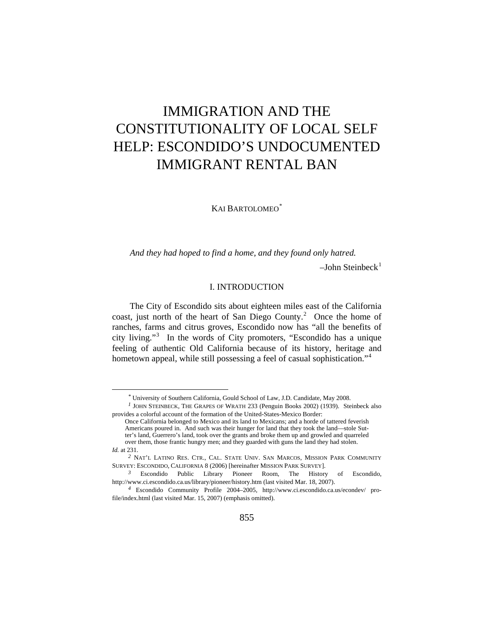# IMMIGRATION AND THE CONSTITUTIONALITY OF LOCAL SELF HELP: ESCONDIDO'S UNDOCUMENTED IMMIGRANT RENTAL BAN

KAI BARTOLOMEO<sup>[\\*](#page-0-0)</sup>

*And they had hoped to find a home, and they found only hatred.*   $-John Steinbeck<sup>1</sup>$  $-John Steinbeck<sup>1</sup>$  $-John Steinbeck<sup>1</sup>$ 

## I. INTRODUCTION

The City of Escondido sits about eighteen miles east of the California coast, just north of the heart of San Diego County.<sup>[2](#page-0-2)</sup> Once the home of ranches, farms and citrus groves, Escondido now has "all the benefits of city living."[3](#page-0-3) In the words of City promoters, "Escondido has a unique feeling of authentic Old California because of its history, heritage and hometown appeal, while still possessing a feel of casual sophistication."<sup>[4](#page-0-4)</sup>

*<sup>\*</sup>* University of Southern California, Gould School of Law, J.D. Candidate, May 2008.

<span id="page-0-1"></span><span id="page-0-0"></span>*<sup>1</sup>* JOHN STEINBECK, THE GRAPES OF WRATH 233 (Penguin Books 2002) (1939). Steinbeck also provides a colorful account of the formation of the United-States-Mexico Border:

Once California belonged to Mexico and its land to Mexicans; and a horde of tattered feverish Americans poured in. And such was their hunger for land that they took the land—stole Sutter's land, Guerrero's land, took over the grants and broke them up and growled and quarreled over them, those frantic hungry men; and they guarded with guns the land they had stolen. *Id.* at 231.

<span id="page-0-2"></span>*<sup>2</sup>* NAT'L LATINO RES. CTR., CAL. STATE UNIV. SAN MARCOS, MISSION PARK COMMUNITY SURVEY: ESCONDIDO, CALIFORNIA 8 (2006) [hereinafter MISSION PARK SURVEY].

<span id="page-0-3"></span>*<sup>3</sup>* Escondido Public Library Pioneer Room, The History of Escondido, http://www.ci.escondido.ca.us/library/pioneer/history.htm (last visited Mar. 18, 2007).

<span id="page-0-4"></span>*<sup>4</sup>* Escondido Community Profile 2004–2005, http://www.ci.escondido.ca.us/econdev/ profile/index.html (last visited Mar. 15, 2007) (emphasis omitted).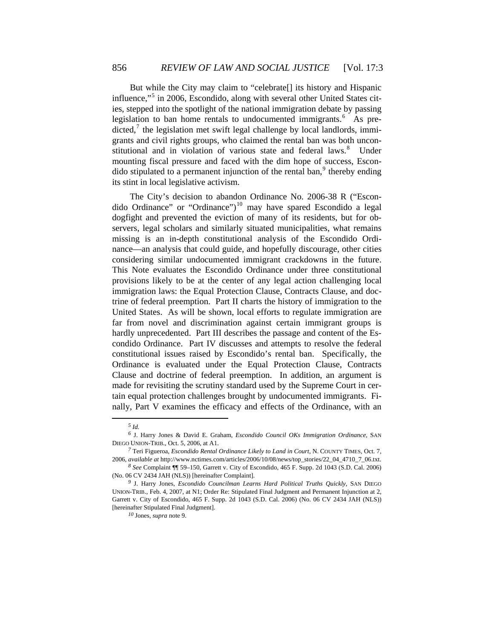But while the City may claim to "celebrate[] its history and Hispanic influence,"[5](#page-1-0) in 2006, Escondido, along with several other United States cities, stepped into the spotlight of the national immigration debate by passing legislation to ban home rentals to undocumented immigrants.<sup>[6](#page-1-1)</sup> As predicted, $7$  the legislation met swift legal challenge by local landlords, immigrants and civil rights groups, who claimed the rental ban was both uncon-stitutional and in violation of various state and federal laws.<sup>[8](#page-1-3)</sup> Under mounting fiscal pressure and faced with the dim hope of success, Escondido stipulated to a permanent injunction of the rental ban, $9$  thereby ending its stint in local legislative activism.

The City's decision to abandon Ordinance No. 2006-38 R ("Escon-dido Ordinance" or "Ordinance")<sup>[10](#page-1-5)</sup> may have spared Escondido a legal dogfight and prevented the eviction of many of its residents, but for observers, legal scholars and similarly situated municipalities, what remains missing is an in-depth constitutional analysis of the Escondido Ordinance—an analysis that could guide, and hopefully discourage, other cities considering similar undocumented immigrant crackdowns in the future. This Note evaluates the Escondido Ordinance under three constitutional provisions likely to be at the center of any legal action challenging local immigration laws: the Equal Protection Clause, Contracts Clause, and doctrine of federal preemption. Part II charts the history of immigration to the United States. As will be shown, local efforts to regulate immigration are far from novel and discrimination against certain immigrant groups is hardly unprecedented. Part III describes the passage and content of the Escondido Ordinance. Part IV discusses and attempts to resolve the federal constitutional issues raised by Escondido's rental ban. Specifically, the Ordinance is evaluated under the Equal Protection Clause, Contracts Clause and doctrine of federal preemption. In addition, an argument is made for revisiting the scrutiny standard used by the Supreme Court in certain equal protection challenges brought by undocumented immigrants. Finally, Part V examines the efficacy and effects of the Ordinance, with an

*<sup>5</sup> Id.*

<span id="page-1-1"></span><span id="page-1-0"></span>*<sup>6</sup>* J. Harry Jones & David E. Graham, *Escondido Council OKs Immigration Ordinance*, SAN DIEGO UNION-TRIB., Oct. 5, 2006, at A1.

<span id="page-1-2"></span>*<sup>7</sup>* Teri Figueroa, *Escondido Rental Ordinance Likely to Land in Court*, N. COUNTY TIMES, Oct. 7, 2006, *available at* http://www.nctimes.com/articles/2006/10/08/news/top\_stories/22\_04\_4710\_7\_06.txt.

<span id="page-1-3"></span>*<sup>8</sup> See* Complaint ¶¶ 59–150, Garrett v. City of Escondido, 465 F. Supp. 2d 1043 (S.D. Cal. 2006) (No. 06 CV 2434 JAH (NLS)) [hereinafter Complaint].

<span id="page-1-5"></span><span id="page-1-4"></span>*<sup>9</sup>* J. Harry Jones, *Escondido Councilman Learns Hard Political Truths Quickly,* SAN DIEGO UNION-TRIB., Feb. 4, 2007, at N1; Order Re: Stipulated Final Judgment and Permanent Injunction at 2, Garrett v. City of Escondido, 465 F. Supp. 2d 1043 (S.D. Cal. 2006) (No. 06 CV 2434 JAH (NLS)) [hereinafter Stipulated Final Judgment].

*<sup>10</sup>* Jones, *supra* note 9.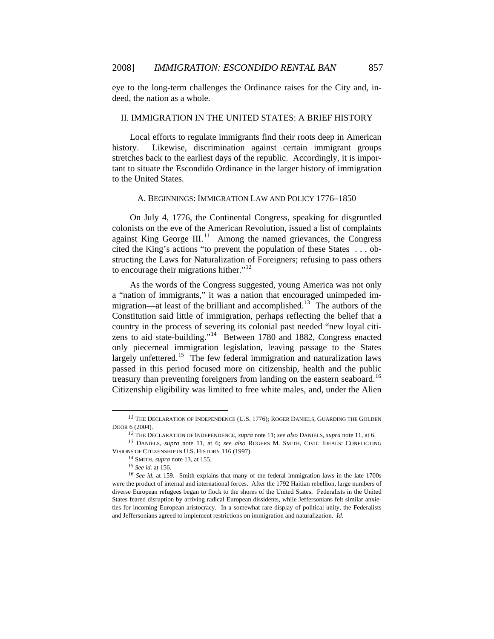eye to the long-term challenges the Ordinance raises for the City and, indeed, the nation as a whole.

# II. IMMIGRATION IN THE UNITED STATES: A BRIEF HISTORY

Local efforts to regulate immigrants find their roots deep in American history. Likewise, discrimination against certain immigrant groups stretches back to the earliest days of the republic. Accordingly, it is important to situate the Escondido Ordinance in the larger history of immigration to the United States.

## A. BEGINNINGS: IMMIGRATION LAW AND POLICY 1776–1850

On July 4, 1776, the Continental Congress, speaking for disgruntled colonists on the eve of the American Revolution, issued a list of complaints against King George  $III$ <sup>[11](#page-2-0)</sup> Among the named grievances, the Congress cited the King's actions "to prevent the population of these States . . . obstructing the Laws for Naturalization of Foreigners; refusing to pass others to encourage their migrations hither."<sup>[12](#page-2-1)</sup>

As the words of the Congress suggested, young America was not only a "nation of immigrants," it was a nation that encouraged unimpeded im-migration—at least of the brilliant and accomplished.<sup>[13](#page-2-2)</sup> The authors of the Constitution said little of immigration, perhaps reflecting the belief that a country in the process of severing its colonial past needed "new loyal citizens to aid state-building."[14](#page-2-3) Between 1780 and 1882, Congress enacted only piecemeal immigration legislation, leaving passage to the States largely unfettered.<sup>[15](#page-2-4)</sup> The few federal immigration and naturalization laws passed in this period focused more on citizenship, health and the public treasury than preventing foreigners from landing on the eastern seaboard.<sup>[16](#page-2-5)</sup> Citizenship eligibility was limited to free white males, and, under the Alien

<span id="page-2-0"></span>*<sup>11</sup>* THE DECLARATION OF INDEPENDENCE (U.S. 1776); ROGER DANIELS, GUARDING THE GOLDEN DOOR 6 (2004).

*<sup>12</sup>* THE DECLARATION OF INDEPENDENCE, *supra* note 11; *see also* DANIELS, *supra* note 11, at 6.

<span id="page-2-2"></span><span id="page-2-1"></span>*<sup>13</sup>* DANIELS, *supra* note 11, at 6; *see also* ROGERS M. SMITH, CIVIC IDEALS: CONFLICTING VISIONS OF CITIZENSHIP IN U.S. HISTORY 116 (1997).

*<sup>14</sup>* SMITH, *supra* note 13, at 155.

*<sup>15</sup> See id.* at 156.

<span id="page-2-5"></span><span id="page-2-4"></span><span id="page-2-3"></span>*<sup>16</sup> See id.* at 159. Smith explains that many of the federal immigration laws in the late 1700s were the product of internal and international forces. After the 1792 Haitian rebellion, large numbers of diverse European refugees began to flock to the shores of the United States. Federalists in the United States feared disruption by arriving radical European dissidents, while Jeffersonians felt similar anxieties for incoming European aristocracy. In a somewhat rare display of political unity, the Federalists and Jeffersonians agreed to implement restrictions on immigration and naturalization. *Id.*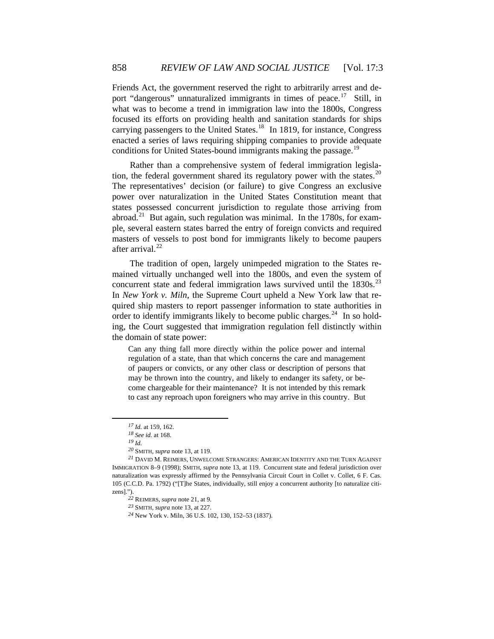Friends Act, the government reserved the right to arbitrarily arrest and de-port "dangerous" unnaturalized immigrants in times of peace.<sup>[17](#page-3-0)</sup> Still, in what was to become a trend in immigration law into the 1800s, Congress focused its efforts on providing health and sanitation standards for ships carrying passengers to the United States.<sup>[18](#page-3-1)</sup> In 1819, for instance, Congress enacted a series of laws requiring shipping companies to provide adequate conditions for United States-bound immigrants making the passage.<sup>[19](#page-3-2)</sup>

Rather than a comprehensive system of federal immigration legisla-tion, the federal government shared its regulatory power with the states.<sup>[20](#page-3-3)</sup> The representatives' decision (or failure) to give Congress an exclusive power over naturalization in the United States Constitution meant that states possessed concurrent jurisdiction to regulate those arriving from abroad.<sup>[21](#page-3-4)</sup> But again, such regulation was minimal. In the 1780s, for example, several eastern states barred the entry of foreign convicts and required masters of vessels to post bond for immigrants likely to become paupers after arrival.<sup>[22](#page-3-5)</sup>

The tradition of open, largely unimpeded migration to the States remained virtually unchanged well into the 1800s, and even the system of concurrent state and federal immigration laws survived until the  $1830s$ <sup>[23](#page-3-6)</sup> In *New York v. Miln*, the Supreme Court upheld a New York law that required ship masters to report passenger information to state authorities in order to identify immigrants likely to become public charges.<sup>[24](#page-3-7)</sup> In so holding, the Court suggested that immigration regulation fell distinctly within the domain of state power:

Can any thing fall more directly within the police power and internal regulation of a state, than that which concerns the care and management of paupers or convicts, or any other class or description of persons that may be thrown into the country, and likely to endanger its safety, or become chargeable for their maintenance? It is not intended by this remark to cast any reproach upon foreigners who may arrive in this country. But

*<sup>17</sup> Id.* at 159, 162.

*<sup>18</sup> See id.* at 168.

*<sup>19</sup> Id.*

*<sup>20</sup>* SMITH, *supra* note 13, at 119.

<span id="page-3-7"></span><span id="page-3-6"></span><span id="page-3-5"></span><span id="page-3-4"></span><span id="page-3-3"></span><span id="page-3-2"></span><span id="page-3-1"></span><span id="page-3-0"></span>*<sup>21</sup>* DAVID M. REIMERS, UNWELCOME STRANGERS: AMERICAN IDENTITY AND THE TURN AGAINST IMMIGRATION 8–9 (1998); SMITH, *supra* note 13, at 119. Concurrent state and federal jurisdiction over naturalization was expressly affirmed by the Pennsylvania Circuit Court in Collet v. Collet, 6 F. Cas. 105 (C.C.D. Pa. 1792) ("[T]he States, individually, still enjoy a concurrent authority [to naturalize citizens].").

*<sup>22</sup>* REIMERS, *supra* note 21, at 9.

*<sup>23</sup>* SMITH, *supra* note 13, at 227.

*<sup>24</sup>* New York v. Miln, 36 U.S. 102, 130, 152–53 (1837).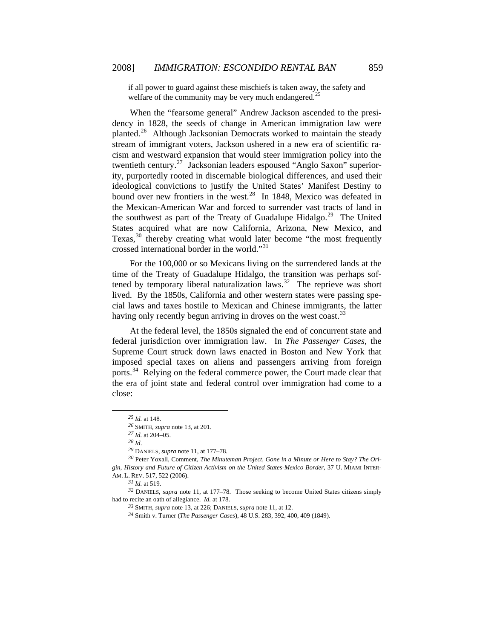if all power to guard against these mischiefs is taken away, the safety and welfare of the community may be very much endangered.<sup>[25](#page-4-0)</sup>

When the "fearsome general" Andrew Jackson ascended to the presidency in 1828, the seeds of change in American immigration law were planted.[26](#page-4-1) Although Jacksonian Democrats worked to maintain the steady stream of immigrant voters, Jackson ushered in a new era of scientific racism and westward expansion that would steer immigration policy into the twentieth century.<sup>[27](#page-4-2)</sup> Jacksonian leaders espoused "Anglo Saxon" superiority, purportedly rooted in discernable biological differences, and used their ideological convictions to justify the United States' Manifest Destiny to bound over new frontiers in the west.<sup>[28](#page-4-3)</sup> In 1848, Mexico was defeated in the Mexican-American War and forced to surrender vast tracts of land in the southwest as part of the Treaty of Guadalupe Hidalgo.<sup>[29](#page-4-4)</sup> The United States acquired what are now California, Arizona, New Mexico, and Texas,<sup>[30](#page-4-5)</sup> thereby creating what would later become "the most frequently crossed international border in the world."[31](#page-4-6)

For the 100,000 or so Mexicans living on the surrendered lands at the time of the Treaty of Guadalupe Hidalgo, the transition was perhaps sof-tened by temporary liberal naturalization laws.<sup>[32](#page-4-7)</sup> The reprieve was short lived. By the 1850s, California and other western states were passing special laws and taxes hostile to Mexican and Chinese immigrants, the latter having only recently begun arriving in droves on the west coast.<sup>[33](#page-4-8)</sup>

At the federal level, the 1850s signaled the end of concurrent state and federal jurisdiction over immigration law. In *The Passenger Cases*, the Supreme Court struck down laws enacted in Boston and New York that imposed special taxes on aliens and passengers arriving from foreign ports.<sup>[34](#page-4-9)</sup> Relying on the federal commerce power, the Court made clear that the era of joint state and federal control over immigration had come to a close:

*<sup>25</sup> Id.* at 148.

*<sup>26</sup>* SMITH, *supra* note 13, at 201.

*<sup>27</sup> Id.* at 204–05.

*<sup>28</sup> Id*.

*<sup>29</sup>* DANIELS, *supra* note 11, at 177–78.

<span id="page-4-5"></span><span id="page-4-4"></span><span id="page-4-3"></span><span id="page-4-2"></span><span id="page-4-1"></span><span id="page-4-0"></span>*<sup>30</sup>* Peter Yoxall, Comment, *The Minuteman Project, Gone in a Minute or Here to Stay? The Origin, History and Future of Citizen Activism on the United States-Mexico Border*, 37 U. MIAMI INTER-AM. L. REV. 517, 522 (2006).

*<sup>31</sup> Id.* at 519.

<span id="page-4-9"></span><span id="page-4-8"></span><span id="page-4-7"></span><span id="page-4-6"></span>*<sup>32</sup>* DANIELS, *supra* note 11, at 177–78. Those seeking to become United States citizens simply had to recite an oath of allegiance. *Id.* at 178.

*<sup>33</sup>* SMITH, *supra* note 13, at 226; DANIELS, *supra* note 11, at 12.

*<sup>34</sup>* Smith v. Turner (*The Passenger Cases*), 48 U.S. 283, 392, 400, 409 (1849).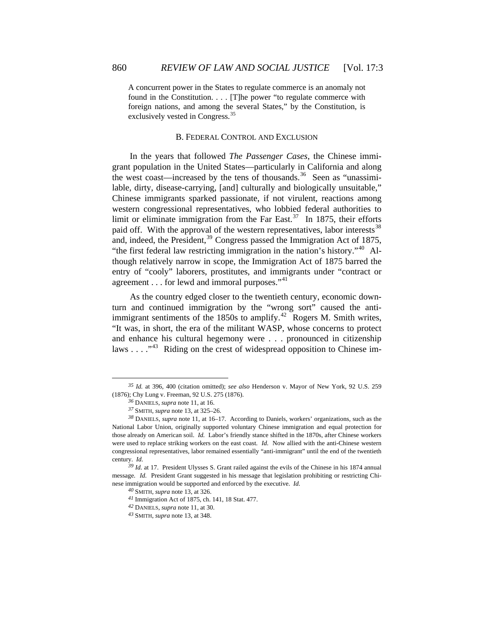A concurrent power in the States to regulate commerce is an anomaly not found in the Constitution. . . . [T]he power "to regulate commerce with foreign nations, and among the several States," by the Constitution, is exclusively vested in Congress.<sup>[35](#page-5-0)</sup>

### B. FEDERAL CONTROL AND EXCLUSION

In the years that followed *The Passenger Cases*, the Chinese immigrant population in the United States—particularly in California and along the west coast—increased by the tens of thousands.<sup>[36](#page-5-1)</sup> Seen as "unassimilable, dirty, disease-carrying, [and] culturally and biologically unsuitable," Chinese immigrants sparked passionate, if not virulent, reactions among western congressional representatives, who lobbied federal authorities to limit or eliminate immigration from the Far East.<sup>[37](#page-5-2)</sup> In 1875, their efforts paid off. With the approval of the western representatives, labor interests<sup>[38](#page-5-3)</sup> and, indeed, the President,<sup>[39](#page-5-4)</sup> Congress passed the Immigration Act of 1875, "the first federal law restricting immigration in the nation's history."[40](#page-5-5) Although relatively narrow in scope, the Immigration Act of 1875 barred the entry of "cooly" laborers, prostitutes, and immigrants under "contract or agreement  $\dots$  for lewd and immoral purposes."<sup>[41](#page-5-6)</sup>

As the country edged closer to the twentieth century, economic downturn and continued immigration by the "wrong sort" caused the anti-immigrant sentiments of the 1850s to amplify.<sup>[42](#page-5-7)</sup> Rogers M. Smith writes, "It was, in short, the era of the militant WASP, whose concerns to protect and enhance his cultural hegemony were . . . pronounced in citizenship laws  $\dots$   $\cdot$ <sup>[43](#page-5-8)</sup>. Riding on the crest of widespread opposition to Chinese im-

<span id="page-5-0"></span>*<sup>35</sup> Id.* at 396, 400 (citation omitted); *see also* Henderson v. Mayor of New York, 92 U.S. 259 (1876); Chy Lung v. Freeman, 92 U.S. 275 (1876).

*<sup>36</sup>* DANIELS, *supra* note 11, at 16.

*<sup>37</sup>* SMITH, *supra* note 13, at 325–26.

<span id="page-5-3"></span><span id="page-5-2"></span><span id="page-5-1"></span>*<sup>38</sup>* DANIELS, *supra* note 11, at 16–17. According to Daniels, workers' organizations, such as the National Labor Union, originally supported voluntary Chinese immigration and equal protection for those already on American soil. *Id.* Labor's friendly stance shifted in the 1870s, after Chinese workers were used to replace striking workers on the east coast. *Id.* Now allied with the anti-Chinese western congressional representatives, labor remained essentially "anti-immigrant" until the end of the twentieth century. *Id.*

<span id="page-5-8"></span><span id="page-5-7"></span><span id="page-5-6"></span><span id="page-5-5"></span><span id="page-5-4"></span>*<sup>39</sup> Id.* at 17. President Ulysses S. Grant railed against the evils of the Chinese in his 1874 annual message. *Id.* President Grant suggested in his message that legislation prohibiting or restricting Chinese immigration would be supported and enforced by the executive. *Id.*

*<sup>40</sup>* SMITH, *supra* note 13, at 326.

*<sup>41</sup>* Immigration Act of 1875, ch. 141, 18 Stat. 477.

*<sup>42</sup>* DANIELS, *supra* note 11, at 30.

*<sup>43</sup>* SMITH, *supra* note 13, at 348.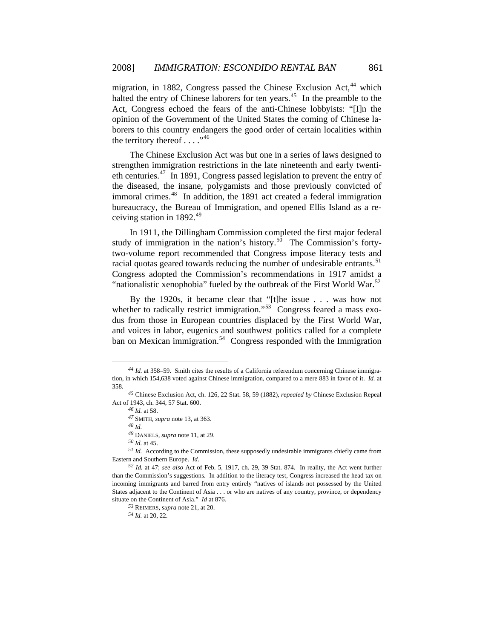migration, in 1882, Congress passed the Chinese Exclusion Act,  $44$  which halted the entry of Chinese laborers for ten years.<sup>[45](#page-6-1)</sup> In the preamble to the Act, Congress echoed the fears of the anti-Chinese lobbyists: "[I]n the opinion of the Government of the United States the coming of Chinese laborers to this country endangers the good order of certain localities within the territory thereof  $\ldots$ ."<sup>[46](#page-6-2)</sup>

The Chinese Exclusion Act was but one in a series of laws designed to strengthen immigration restrictions in the late nineteenth and early twenti-eth centuries.<sup>[47](#page-6-3)</sup> In 1891, Congress passed legislation to prevent the entry of the diseased, the insane, polygamists and those previously convicted of immoral crimes.<sup>[48](#page-6-4)</sup> In addition, the 1891 act created a federal immigration bureaucracy, the Bureau of Immigration, and opened Ellis Island as a re-ceiving station in 1892.<sup>[49](#page-6-5)</sup>

In 1911, the Dillingham Commission completed the first major federal study of immigration in the nation's history.<sup>[50](#page-6-6)</sup> The Commission's fortytwo-volume report recommended that Congress impose literacy tests and racial quotas geared towards reducing the number of undesirable entrants.<sup>[51](#page-6-7)</sup> Congress adopted the Commission's recommendations in 1917 amidst a "nationalistic xenophobia" fueled by the outbreak of the First World War.<sup>[52](#page-6-8)</sup>

By the 1920s, it became clear that "[t]he issue . . . was how not whether to radically restrict immigration."<sup>[53](#page-6-9)</sup> Congress feared a mass exodus from those in European countries displaced by the First World War, and voices in labor, eugenics and southwest politics called for a complete ban on Mexican immigration.<sup>[54](#page-6-10)</sup> Congress responded with the Immigration

*<sup>48</sup> Id.*

 $\overline{a}$ 

*<sup>54</sup> Id.* at 20, 22.

<span id="page-6-0"></span>*<sup>44</sup> Id.* at 358–59. Smith cites the results of a California referendum concerning Chinese immigration, in which 154,638 voted against Chinese immigration, compared to a mere 883 in favor of it. *Id.* at 358.

<span id="page-6-3"></span><span id="page-6-2"></span><span id="page-6-1"></span>*<sup>45</sup>* Chinese Exclusion Act, ch. 126, 22 Stat. 58, 59 (1882), *repealed by* Chinese Exclusion Repeal Act of 1943, ch. 344, 57 Stat. 600.

*<sup>46</sup> Id.* at 58.

*<sup>47</sup>* SMITH, *supra* note 13, at 363.

*<sup>49</sup>* DANIELS, *supra* note 11, at 29.

*<sup>50</sup> Id.* at 45.

<span id="page-6-7"></span><span id="page-6-6"></span><span id="page-6-5"></span><span id="page-6-4"></span>*<sup>51</sup> Id.* According to the Commission, these supposedly undesirable immigrants chiefly came from Eastern and Southern Europe. *Id.*

<span id="page-6-10"></span><span id="page-6-9"></span><span id="page-6-8"></span>*<sup>52</sup> Id.* at 47; *see also* Act of Feb. 5, 1917, ch. 29, 39 Stat. 874. In reality, the Act went further than the Commission's suggestions. In addition to the literacy test, Congress increased the head tax on incoming immigrants and barred from entry entirely "natives of islands not possessed by the United States adjacent to the Continent of Asia . . . or who are natives of any country, province, or dependency situate on the Continent of Asia." *Id* at 876*.*

*<sup>53</sup>* REIMERS, *supra* note 21, at 20.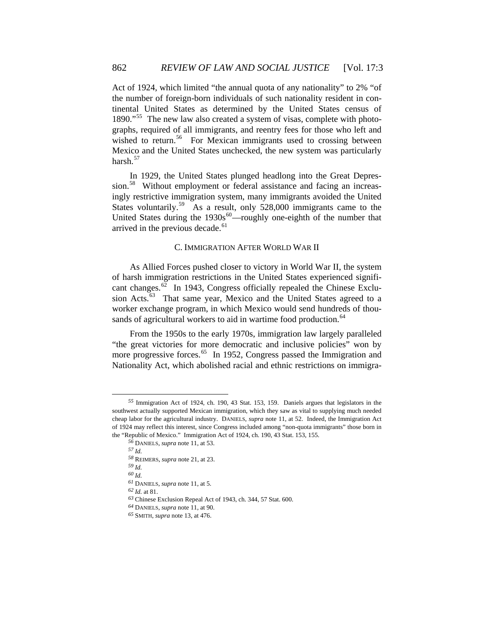Mexico and the United States unchecked, the new system was particularly harsh.<sup>[57](#page-7-2)</sup> Act of 1924, which limited "the annual quota of any nationality" to 2% "of the number of foreign-born individuals of such nationality resident in continental United States as determined by the United States census of 1890."<sup>[55](#page-7-0)</sup> The new law also created a system of visas, complete with photographs, required of all immigrants, and reentry fees for those who left and wished to return.<sup>[56](#page-7-1)</sup> For Mexican immigrants used to crossing between

United States during the  $1930s^{60}$ —roughly one-eighth of the number that arrived in the previous decade.<sup>61</sup> [In 1929, the United States plunged headlong into the Great Depres](#page-7-2)[sion.](#page-7-2)<sup>58</sup> [Without employment or federal assistance and facing an increas](#page-7-3)[ingly restrictive immigration system, many immigrants avoided the United](#page-7-3)  [States voluntarily.](#page-7-3)<sup>59</sup> As a result, only 528,000 immigrants came to the

#### C. IMMIGRATION AFTER WORLD WAR II

worker exchange program, in which Mexico would send hundreds of thou-sands of agricultural workers to aid in wartime food production.<sup>[64](#page-7-7)</sup> As Allied Forces pushed closer to victory in World War II, the system of harsh immigration restrictions in the United States experienced signifi-cant changes.<sup>[62](#page-7-5)</sup> In 1943, Congress officially repealed the Chinese Exclu-sion Acts.<sup>[63](#page-7-6)</sup> That same year, Mexico and the United States agreed to a

[From the 1950s to the early 1970s, immigration law largely paralleled](#page-7-7)  ["the great victories for more democratic and inclusive policies" won by](#page-7-7)  [more progressive forces.](#page-7-7)<sup>65</sup> In 1952, Congress passed the Immigration and [Nationality Act, which abolished racial and ethnic restrictions on immigra-](#page-8-0)

 $\overline{a}$ 

<span id="page-7-2"></span><span id="page-7-1"></span><span id="page-7-0"></span>*<sup>55</sup>* Immigration Act of 1924, ch. 190, 43 Stat. 153, 159. Daniels argues that legislators in the southwest actually supported Mexican immigration, which they saw as vital to supplying much needed cheap labor for the agricultural industry. DANIELS, *supra* note 11, at 52. Indeed, the Immigration Act of 1924 may reflect this interest, since Congress included among "non-quota immigrants" those born in the "Republic of Mexico." Immigration Act of 1924, ch. 190, 43 Stat. 153, 155.

<sup>56</sup> DANIELS, *supra* note 11, at 53.

*<sup>57</sup> Id.*

<sup>58</sup> REIMERS, *supra* note 21, at 23.

*<sup>59</sup> Id.*

<span id="page-7-4"></span><span id="page-7-3"></span>*<sup>60</sup> Id.*

*supra* note 11, at 5. *<sup>61</sup>* DANIELS,

<span id="page-7-5"></span>*<sup>62</sup> Id.* at 81.

<span id="page-7-6"></span> $63$  Chinese Exclusion Repeal Act of 1943, ch. 344, 57 Stat.  $600$ .

*<sup>64</sup>* DANIELS, *supra* note 11, at 90.

<span id="page-7-7"></span>*<sup>65</sup>* SMITH, *supra* note 13, at 476.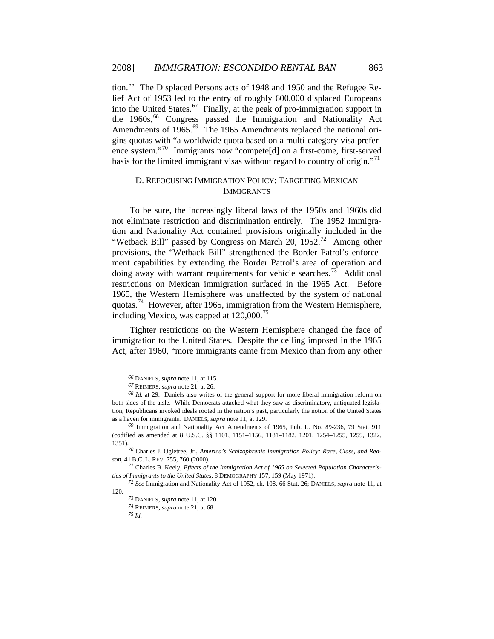basis for the limited immigrant visas without regard to country of origin."71 [tion.](#page-8-0)<sup>66</sup> [The Displaced Persons acts of 1948 and 1950 and the Refugee Re](#page-8-1)[lief Act of 1953 led to the entry of roughly 600,000 displaced Europeans](#page-8-1)  [into the United States.](#page-8-1)<sup>67</sup> Finally, at the peak of pro-immigration support in [the 1960s,](#page-8-2)<sup>68</sup> Congress passed the Immigration and Nationality Act [Amendments of 1965.](#page-8-3)<sup>69</sup> [The 1965 Amendments replaced the national ori](#page-8-4)[gins quotas with "a worldwide quota based on a multi-category visa prefer](#page-8-4)[ence system."](#page-8-4)70 [Immigrants now "compete\[d\] on a first-come, first-served](#page-8-5) 

## D. REFOCUSING IMMIGRATION POLICY: TARGETING MEXICAN IMMIGRANTS

quotas.<sup>[74](#page-8-8)</sup> However, after 1965, immigration from the Western Hemisphere, including Mexico, was capped at  $120,000$ .<sup>[75](#page-9-0)</sup> To be sure, the increasingly liberal laws of the 1950s and 1960s did not eliminate restriction and discrimination entirely. The 1952 Immigration and Nationality Act contained provisions originally included in the "Wetback Bill" passed by Congress on March 20,  $1952<sup>72</sup>$  $1952<sup>72</sup>$  $1952<sup>72</sup>$  Among other provisions, the "Wetback Bill" strengthened the Border Patrol's enforcement capabilities by extending the Border Patrol's area of operation and doing away with warrant requirements for vehicle searches.<sup>[73](#page-8-7)</sup> Additional restrictions on Mexican immigration surfaced in the 1965 Act. Before 1965, the Western Hemisphere was unaffected by the system of national

Tighter restrictions on the Western Hemisphere changed the face of immigration to the United States. Despite the ceiling imposed in the 1965 Act, after 1960, "more immigrants came from Mexico than from any other

*<sup>66</sup>* DANIELS, *supra* note 11, at 115.

*<sup>67</sup>* REIMERS, *supra* note 21, at 26.

<span id="page-8-2"></span><span id="page-8-1"></span><span id="page-8-0"></span>tion, Republicans invoked ideals rooted in the nation's past, particularly the notion of the United States as a h aven for immigrants. DANIELS, *supra* note 11, at 129. *<sup>68</sup> Id.* at 29. Daniels also writes of the general support for more liberal immigration reform on both sides of the aisle. While Democrats attacked what they saw as discriminatory, antiquated legisla-

<span id="page-8-3"></span><sup>(</sup>codified as amended at 8 U.S.C. §§ 1101, 1151-1156, 1181-1182, 1201, 1254-1255, 1259, 1322, 1351) . *<sup>69</sup>* Immigration and Nationality Act Amendments of 1965, Pub. L. No. 89-236, 79 Stat. 911

<span id="page-8-4"></span>*ica's Schizophrenic Immigration Policy: Race, Class, and Rea-<sup>70</sup>* Charles J. Ogletree, Jr., *Amer son*, 4 1 B.C. L. REV. 755, 760 (2000).

<span id="page-8-5"></span><sup>&</sup>lt;sup>71</sup> Charles B. Keely, *Effects of the Immigration Act of 1965 on Selected Population Characteristics o f Immigrants to the United States*, 8 DEMOGRAPHY 157, 159 (May 1971).

<span id="page-8-8"></span><span id="page-8-7"></span><span id="page-8-6"></span>*<sup>72</sup> See* Immigration and Nationality Act of 1952, ch. 108, 66 Stat. 26; DANIELS, *supra* note 11, at 120.

*<sup>73</sup>* DANIELS, *supra* note 11, at 120.

<sup>74</sup> REIMERS, *supra* note 21, at 68.

*<sup>75</sup> Id.*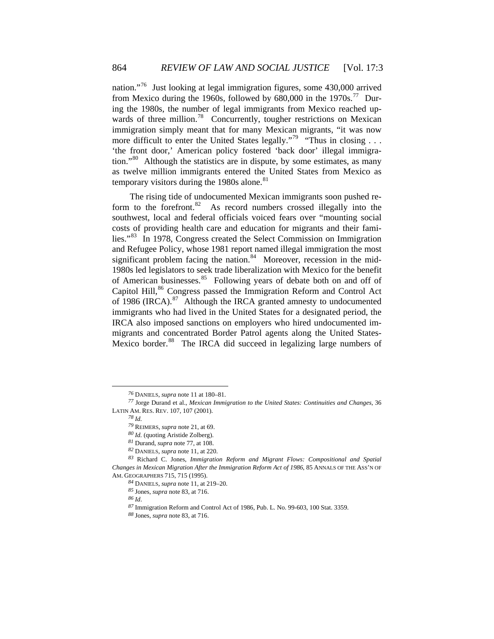as twelve million immigrants entered the United States from Mexico as temporary visitors during the 1980s alone. $81$ nation."[76](#page-9-1) Just looking at legal immigration figures, some 430,000 arrived from Mexico during the 1960s, followed by  $680,000$  in the 1970s.<sup>[77](#page-9-2)</sup> During the 1980s, the number of legal immigrants from Mexico reached up-wards of three million.<sup>[78](#page-9-3)</sup> Concurrently, tougher restrictions on Mexican immigration simply meant that for many Mexican migrants, "it was now more difficult to enter the United States legally."<sup>[79](#page-9-4)</sup> "Thus in closing . . . 'the front door,' American policy fostered 'back door' illegal immigra-tion."<sup>[80](#page-9-5)</sup> Although the statistics are in dispute, by some estimates, as many

The rising tide of undocumented Mexican immigrants soon pushed re-form to the forefront.<sup>[82](#page-9-7)</sup> As record numbers crossed illegally into the southwest, local and federal officials voiced fears over "mounting social costs of providing health care and education for migrants and their families."[83](#page-9-8) In 1978, Congress created the Select Commission on Immigration and Refugee Policy, whose 1981 report named illegal immigration the most significant problem facing the nation.<sup>[84](#page-9-9)</sup> Moreover, recession in the mid-1980s led legislators to seek trade liberalization with Mexico for the benefit of American businesses.<sup>[85](#page-9-10)</sup> Following years of debate both on and off of Capitol Hill,<sup>[86](#page-9-11)</sup> Congress passed the Immigration Reform and Control Act of 1986 (IRCA). $87$  Although the IRCA granted amnesty to undocumented immigrants who had lived in the United States for a designated period, the IRCA also imposed sanctions on employers who hired undocumented immigrants and concentrated Border Patrol agents along the United States-Mexico border.<sup>[88](#page-10-0)</sup> The IRCA did succeed in legalizing large numbers of

 $\overline{a}$ 

*<sup>76</sup>* DANIELS, *supra* note 11 at 180–81.

<span id="page-9-3"></span><span id="page-9-2"></span><span id="page-9-1"></span><span id="page-9-0"></span>e Durand et al., *Mexican Immigration to the United States: Continuities and Changes*, 36 *<sup>77</sup>* Jorg LATIN AM. RES. REV. 107, 107 (2001).

*<sup>78</sup> Id.*

*<sup>79</sup>* REIMERS, *supra* note 21, at 69.

*<sup>80</sup> Id.* (quoting Aristide Zolberg).

*<sup>81</sup>* Durand, *supra* note 77, at 108.

*<sup>82</sup>* DANIELS, *supra* note 11, at 220.

<span id="page-9-12"></span><span id="page-9-11"></span><span id="page-9-10"></span><span id="page-9-9"></span><span id="page-9-8"></span><span id="page-9-7"></span><span id="page-9-6"></span><span id="page-9-5"></span><span id="page-9-4"></span>*tion Reform and Migrant Flows: Compositional and Spatial <sup>83</sup>* Richard C. Jones, *Immigra* Changes in Mexican Migration After the Immigration Reform Act of 1986, 85 ANNALS OF THE ASS'N OF AM. G EOGRAPHERS 715, 715 (1995).

<sup>84</sup> DANIELS, *supra* note 11, at 219–20.

*<sup>85</sup>* Jones, *supra* note 83, at 716.

*<sup>86</sup> Id*.

*<sup>87</sup>* Immigration Reform and Control Act of 1986, Pub. L. No. 99-603, 100 Stat. 3359.

*<sup>88</sup>* Jones, *supra* note 83, at 716.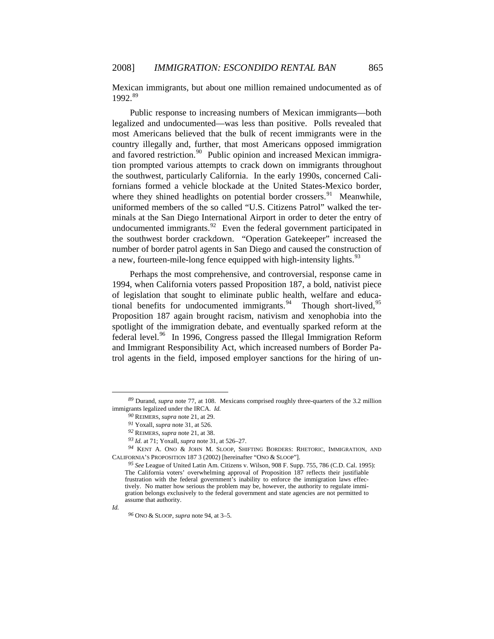Mex ican immigrants, but about one million remained undocumented as of 1992.[89](#page-10-1)

the southwest border crackdown. "Operation Gatekeeper" increased the num ber of border patrol agents in San Diego and caused the construction of Public response to increasing numbers of Mexican immigrants—both legalized and undocumented—was less than positive. Polls revealed that most Americans believed that the bulk of recent immigrants were in the country illegally and, further, that most Americans opposed immigration and favored restriction.<sup>[90](#page-10-2)</sup> Public opinion and increased Mexican immigration prompted various attempts to crack down on immigrants throughout the southwest, particularly California. In the early 1990s, concerned Californians formed a vehicle blockade at the United States-Mexico border, where they shined headlights on potential border crossers.<sup>[91](#page-10-3)</sup> Meanwhile, uniformed members of the so called "U.S. Citizens Patrol" walked the terminals at the San Diego International Airport in order to deter the entry of undocumented immigrants.<sup>[92](#page-10-4)</sup> Even the federal government participated in a new, fourteen-mile-long fence equipped with high-intensity lights.  $93$ 

trol agents in the field, imposed employer sanctions for the hiring of un-[Perhaps the most comprehensive, and controversial, response came in](#page-10-5)  [1994, when California voters passed Proposition 187, a bold, nativist piece](#page-10-5)  [of legislation that sought to eliminate public health, welfare and educa](#page-10-5)[tional benefits for undocumented immigrants.](#page-10-5)<sup>94</sup> [Though short-lived,](#page-10-6)<sup>95</sup> [Proposition 187 again brought racism, nativism and xenophobia into the](#page-10-7)  [spotlight of the immigration debate, and eventually sparked reform at the](#page-10-7)  [federal level.](#page-10-7)<sup>96</sup> In 1996, Congress passed the Illegal Immigration Reform [and Immigrant Responsibility Act, which increased numbers of Border Pa-](#page-11-0)

*<sup>93</sup> Id.* at 71; Yoxall, *supra* note 31, at 526–27.

<span id="page-10-7"></span>*Id.* 

 $\overline{a}$ 

*<sup>96</sup>* ONO & SLOOP, *supra* note 94, at 3–5.

<span id="page-10-2"></span><span id="page-10-1"></span><span id="page-10-0"></span><sup>&</sup>lt;sup>89</sup> Durand, *supra* note 77, at 108. Mexicans comprised roughly three-quarters of the 3.2 million immigrants legalized under the IRCA. *Id.* 

*<sup>90</sup>* REIMERS, *supra* note 21, at 29.

*<sup>91</sup>* Yoxall, *supra* note 31, at 526.

*<sup>92</sup>* REIMERS, *supra* note 21, at 38.

<span id="page-10-6"></span><span id="page-10-5"></span><span id="page-10-4"></span><span id="page-10-3"></span>CAL IFORNIA'S PROPOSITION 187 3 (2002) [hereinafter "ONO & SLOOP"]. *<sup>94</sup>* KENT A. ONO & JOHN M. SLOOP, SHIFTING BORDERS: RHETORIC, IMMIGRATION, AND

<sup>):</sup>  *<sup>95</sup> See* League of United Latin Am. Citizens v. Wilson, 908 F. Supp. 755, 786 (C.D. Cal. 1995 tively. No matter how serious the problem may be, however, the authority to regulate immigration belongs exclusively to the federal government and state agencies are not permitted to a ssume that authority. The California voters' overwhelming approval of Proposition 187 reflects their justifiable frustration with the federal government's inability to enforce the immigration laws effec-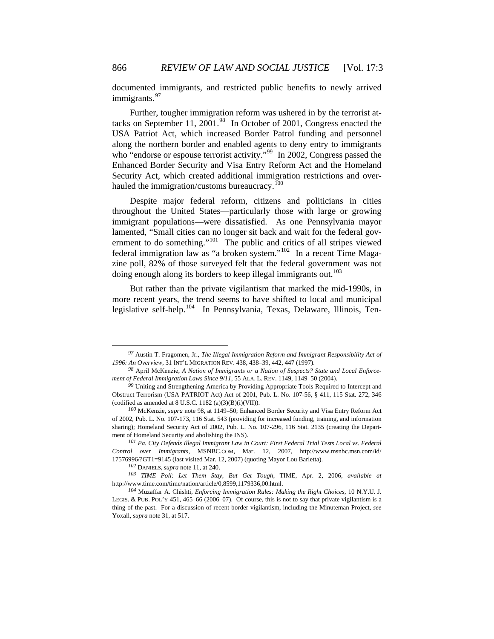docu mented immigrants, and restricted public benefits to newly arrived immigrants.<sup>[97](#page-11-1)</sup>

Enhanced Border Security and Visa Entry Reform Act and the Homeland Secu rity Act, which created additional immigration restrictions and over-[Further, tougher immigration reform was ushered in by the terrorist at](#page-11-1)[tacks on September 11, 2001.](#page-11-1)<sup>98</sup> In October of 2001, Congress enacted the [USA Patriot Act, which increased Border Patrol funding and personnel](#page-11-2)  [along the northern border and enabled agents to deny entry to immigrants](#page-11-2)  [who "endorse or espouse terrorist activity."](#page-11-2)<sup>99</sup> In 2002, Congress passed the hauled the immigration/customs bureaucracy.<sup>[100](#page-11-4)</sup>

[federal immigration law as "a broken system."](#page-11-5)<sup>102</sup> [In a recent Tim](#page-11-6)e Magazine poll, 82% of those surveyed felt that the federal government was not [Despite major federal reform, citizens and politicians in cities](#page-11-4)  [throughout the United States—particularly those with large or growing](#page-11-4)  [immigrant populations—were dissatisfied. As one Pennsylvania mayor](#page-11-4)  [lamented, "Small cities can no longer sit back and wait for the federal gov](#page-11-4)[ernment to do something."](#page-11-4)<sup>101</sup> The public and critics of all stripes viewed doing enough along its borders to keep illegal immigrants out.<sup>[103](#page-11-7)</sup>

But rather than the private vigilantism that marked the mid-1990s, in more recent years, the trend seems to have shifted to local and municipal legislative self-help.<sup>[104](#page-12-0)</sup> In Pennsylvania, Texas, Delaware, Illinois, Ten-

 $\overline{a}$ 

<span id="page-11-0"></span>*<sup>97</sup>* Austin T. Fragomen, Jr., *The Illegal Immigration Reform and Immigrant Responsibility Act of 1996: An Overview*, 31 INT'L MIGRATION REV. 438, 438–39, 442, 447 (1997).

<span id="page-11-1"></span>ment of Federal Immigration Laws Since 9/11, 55 ALA. L. REV. 1149, 1149-50 (2004). *<sup>98</sup>* April McKenzie, *A Nation of Immigrants or a Nation of Suspects? State and Local Enforce-*

<span id="page-11-2"></span><sup>&</sup>lt;sup>99</sup> Uniting and Strengthening America by Providing Appropriate Tools Required to Intercept and Obstruct Terrorism (USA PATRIOT Act) Act of 2001, Pub. L. No. 107-56, § 411, 115 Stat. 272, 346 (codified as amended at  $8$  U.S.C. 1182 (a)(3)(B)(i)(VII)).

<span id="page-11-3"></span><sup>100</sup> McKenzie, *supra* note 98, at 1149–50; Enhanced Border Security and Visa Entry Reform Act of 200 2, Pub. L. No. 107-173, 116 Stat. 543 (providing for increased funding, training, and information sharing); Homeland Security Act of 2002, Pub. L. No. 107-296, 116 Stat. 2135 (creating the Department of Homeland Security and abolishing the INS).

<span id="page-11-4"></span>*nt Law in Court: First Federal Trial Tests Local vs. Federal <sup>101</sup> Pa. City Defends Illegal Immigra Contr ol over Immigrants*, MSNBC.COM, Mar. 12, 2007, http://www.msnbc.msn.com/id/ 17576996/?GT1=9145 (last visited Mar. 12, 2007) (quoting Mayor Lou Barletta).

*<sup>102</sup>* DANIELS, *supra* note 11, at 240.

<span id="page-11-6"></span><span id="page-11-5"></span>*<sup>103</sup> TIME Poll: Let Them Stay, But Get Tough*, TIME, Apr. 2, 2006, *available at*  http://www.time.com/time/nation/article/0,8599,1179336,00.html.

<span id="page-11-7"></span>*Enforcing Immigration Rules: Making the Right Choices*, 10 N.Y.U. J. *<sup>104</sup>* Muzaffar A. Chishti, LEGIS. & PUB. POL'Y 451, 465–66 (2006–07). Of course, this is not to say that private vigilantism is a thing of the past. For a discussion of recent border vigilantism, including the Minuteman Project, *see* Yoxall, *supra* note 31, at 517.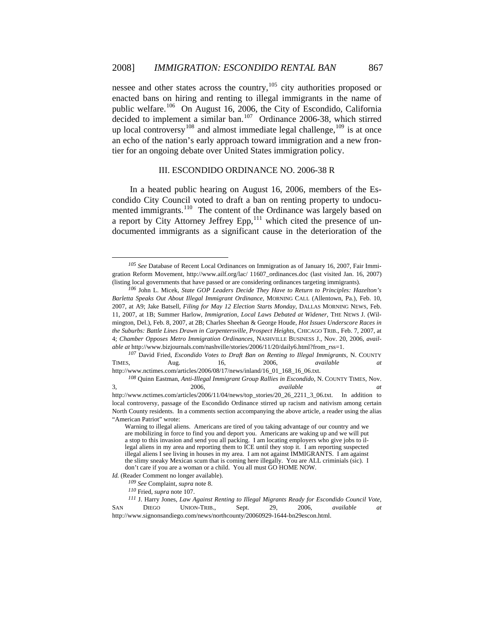up local controversy<sup>[108](#page-12-4)</sup> and almost immediate legal challenge,  $109$  is at once an echo of the nation's early approach toward immigration and a new frontier for an ongoing debate over United States immigration policy. nessee and other states across the country,<sup>[105](#page-12-1)</sup> city authorities proposed or enacted bans on hiring and renting to illegal immigrants in the name of public welfare.<sup>[106](#page-12-2)</sup> On August 16, 2006, the City of Escondido, California decided to implement a similar ban.<sup>[107](#page-12-3)</sup> Ordinance 2006-38, which stirred

#### III. ESCONDIDO ORDINANCE NO. 2006-38 R

In a heated public hearing on August 16, 2006, members of the Escondido City Council voted to draft a ban on renting property to undocu-mented immigrants.<sup>[110](#page-12-5)</sup> The content of the Ordinance was largely based on a report by City Attorney Jeffrey Epp, $^{111}$  $^{111}$  $^{111}$  which cited the presence of undocumented immigrants as a significant cause in the deterioration of the

<span id="page-12-3"></span><span id="page-12-2"></span>2006, *available* available http://www.nctimes.com/articles/2006/11/04/news/top\_stories/20\_26\_2211\_3\_06.txt. In addition to *<sup>107</sup>* David Fried, *Escondido Votes to Draft Ban on Renting to Illegal Immigrants*, N. COUNTY TIMES, Aug. 16, 2006, *available at*  http://www.nctimes.com/articles/2006/08/17/news/inland/16\_01\_168\_16\_06.txt. *<sup>108</sup>* Quinn Eastman, *Anti-Illegal Immigrant Group Rallies in Escondido*, N. COUNTY TIMES, Nov. 3,

 $\overline{a}$ 

<span id="page-12-0"></span>*<sup>105</sup> See* Database of Recent Local Ordinances on Immigration as of January 16, 2007, Fair Immigration Reform Movement, http://www.ailf.org/lac/ 11607\_ordinances.doc (last visited Jan. 16, 2007) (listing local governments that have passed or are considering ordinances targeting immigrants).

<span id="page-12-1"></span>*<sup>106</sup>* John L. Micek, *State GOP Leaders Decide They Have to Return to Principles: Hazelton's Barletta Speaks Out About Illegal Immigrant Ordinance*, MORNING CALL (Allentown, Pa.), Feb. 10, 2007, at A9; Jake Batsell, *Filing for May 12 Election Starts Monday*, DALLAS MORNING NEWS, Feb. 11, 2007, at 1B; Summer Harlow, *Immigration, Local Laws Debated at Widener*, THE NEWS J. (Wilmingt on, Del.), Feb. 8, 2007, at 2B; Charles Sheehan & George Houde, *Hot Issues Underscore Races in*  4; *Chamber Opposes Metro Immigration Ordinances*, NASHVILLE BUSINESS J., Nov. 20, 2006, avail*able a t* http://www.bizjournals.com/nashville/stories/2006/11/20/daily6.html?from\_rss=1. *the Suburbs: Battle Lines Drawn in Carpentersville, Prospect Heights*, CHICAGO TRIB., Feb. 7, 2007, at

local controversy, passage of the Escondido Ordinance stirred up racism and nativism among certain North County residents. In a comments section accompanying the above article, a reader using the alias "Am erican Patriot" wrote:

a stop to this invasion and send you all packing. I am locating employers who give jobs to illegal aliens in my area and reporting them to ICE until they stop it. I am reporting suspected illegal aliens I see living in houses in my area. I am not against IMMIGRANTS. I am against the slimy sneaky Mexican scum that is coming here illegally. You are ALL criminials (sic). I d on't care if you are a woman or a child. You all must GO HOME NOW. Warning to illegal aliens. Americans are tired of you taking advantage of our country and we are mobilizing in force to find you and deport you. Americans are waking up and we will put

<span id="page-12-4"></span>Id. (Reader Comment no longer available).

*<sup>109</sup> See* Complaint, *supra* note 8.

*<sup>110</sup>* Fried, *supra* note 107.

<span id="page-12-6"></span><span id="page-12-5"></span>http://www.signonsandiego.com/news/northcounty/20060929-1644-bn29escon.html. *<sup>111</sup>* J. Harry Jones, *Law Against Renting to Illegal Migrants Ready for Escondido Council Vote*, SAN DIEGO UNION-TRIB., Sept. 29, 2006, *available at*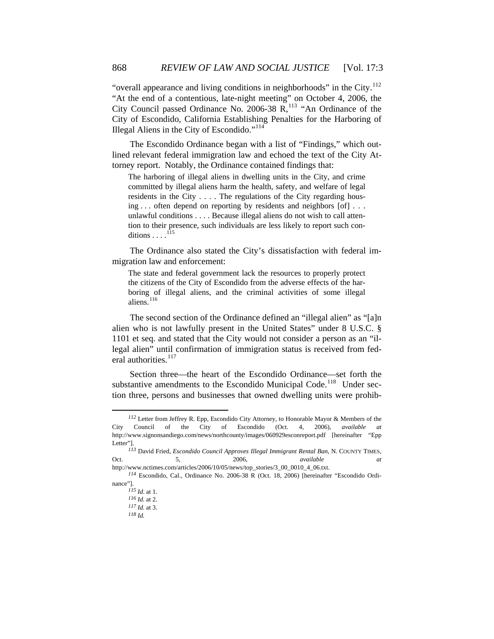City Council passed Ordinance No. 2006-38  $\overline{R}$ , <sup>113</sup> "An Ordinance of the City of Escondido, California Establishing Penalties for the Harboring of "overall appearance and living conditions in neighborhoods" in the City.<sup>[112](#page-13-0)</sup> "At the end of a contentious, late-night meeting" on October 4, 2006, the Illegal Aliens in the City of Escondido."<sup>114</sup>

The Escondido Ordinance began with a list of "Findings," which outlined relevant federal immigration law and echoed the text of the City Attorn ey report. Notably, the Ordinance contained findings that:

unlawful conditions . . . . Because illegal aliens do not wish to call atten-The harboring of illegal aliens in dwelling units in the City, and crime committed by illegal aliens harm the health, safety, and welfare of legal residents in the City . . . . The regulations of the City regarding housing . . . often depend on reporting by residents and neighbors [of] . . . tion to their presence, such individuals are less likely to report such conditions  $\ldots$ .<sup>115</sup>

The Ordinance also stated the City's dissatisfaction with federal immig ration law and enforcement:

the citizens of the City of Escondido from the adverse effects of the har-The state and federal government lack the resources to properly protect boring of illegal aliens, and the criminal activities of some illegal aliens.<sup>[116](#page-13-1)</sup>

[1101 et seq. and sta](#page-13-1)ted that the City would not consider a person as an "illegal alien" until confirmation of immigration status is received from fed-[The second section of the Ordinance defined an "illegal alien" as "\[a\]n](#page-13-1)  [alien who is not lawfully present in the United States" under 8 U.S.C. §](#page-13-1)  eral authorities.<sup>[117](#page-13-2)</sup>

Section three—the heart of the Escondido Ordinance—set forth the substantive amendments to the Escondido Municipal Code.<sup>[118](#page-14-0)</sup> Under section three, persons and businesses that owned dwelling units were prohib-

<span id="page-13-0"></span>*<sup>112</sup>* Letter from Jeffrey R. Epp, Escondido City Attorney, to Honorable Mayor & Members of the City Council of the City of Escondido (Oct. 4, 2006), *available at*  http://www.signonsandiego.com/news/northcounty/images/060929esconreport.pdf [hereinafter "Epp Letter"].

*at*  http:// www.nctimes.com/articles/2006/10/05/news/top\_stories/3\_00\_0010\_4\_06.txt. *<sup>113</sup>* David Fried, *Escondido Council Approves Illegal Immigrant Rental Ban*, N. COUNTY TIMES, Oct. 5, 2006, *available* **2006**, *available* 

<span id="page-13-2"></span><span id="page-13-1"></span><sup>114</sup> Escondido, Cal., Ordinance No. 2006-38 R (Oct. 18, 2006) [hereinafter "Escondido Ordinance"].

*<sup>115</sup> Id*. at 1.

*<sup>116</sup> Id.* at 2.

 $117$  *Id.* at 3. *<sup>118</sup> Id.*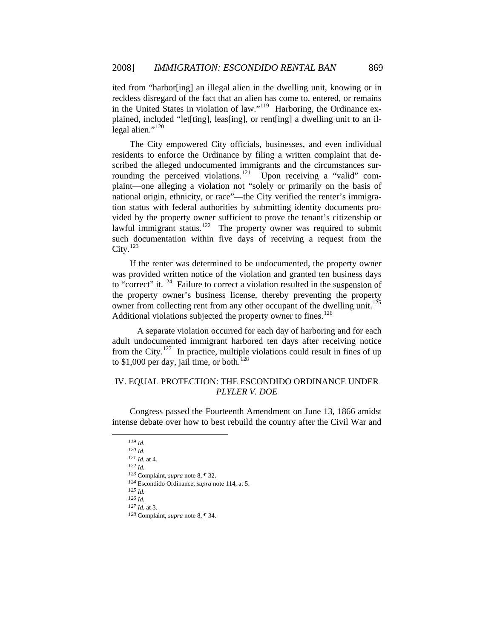reckless disregard of the fact that an alien has come to, entered, or remains in the United States in violation of law."<sup>[119](#page-14-1)</sup> Harboring, the Ordinance exited from "harbor[ing] an illegal alien in the dwelling unit, knowing or in plained, included "let[ting], leas[ing], or rent[ing] a dwelling unit to an il-legal alien."<sup>[120](#page-14-2)</sup>

[vided by](#page-14-3) the property owner sufficient to prove the tenant's citizenship or lawful immigrant status.<sup>[122](#page-14-4)</sup> The property owner was required to submit [The City empowered City officials, businesses, and even individual](#page-14-2)  [residents to enforce the Ordinance by filing a written complaint that de](#page-14-2)[scribed the alleged undocumented immigrants and the circumstances sur](#page-14-2)[rounding the perceived violations.](#page-14-2)<sup>121</sup> [Upon receiving a "valid" com](#page-14-3)[plaint—one alleging a violation not "solely or primarily on the basis of](#page-14-3)  [national origin, ethnicity, or race"—the City verified the renter's immigra](#page-14-3)[tion status with federal authorities by submitting identity documents pro](#page-14-3)such documentation within five days of receiving a request from the City. $^{123}$  $^{123}$  $^{123}$ 

[to "correct" it.](#page-14-5)<sup>124</sup> [Failure to correct a violation resulted in the s](#page-14-6)uspension of the property owner's business license, thereby preventing the property [If the renter was determined to be undocumented, the property owner](#page-14-5)  [was provided written notice of the violation and granted ten business days](#page-14-5)  owner from collecting rent from any other occupant of the dwelling unit.<sup>[125](#page-14-7)</sup> Additional violations subjected the property owner to fines.<sup>[126](#page-14-8)</sup>

A separate violation occurred for each day of harboring and for each adult undocumented immigrant harbored ten days after receiving notice to \$1,000 per day, jail time, or both. $128$ from the City.<sup>127</sup> In practice, multiple violations could result in fines of up

# IV. EQUAL PROTECTION: THE ESCONDIDO ORDINANCE UNDER *PLYLER V. DOE*

<span id="page-14-2"></span><span id="page-14-1"></span><span id="page-14-0"></span>intense debate over how to best rebuild the country after the Civil War and Congress passed the Fourteenth Amendment on June 13, 1866 amidst

*<sup>119</sup> Id. 120 Id.*

*<sup>121</sup> Id.* at 4.

<span id="page-14-4"></span><span id="page-14-3"></span>*<sup>122</sup> Id.*

<sup>123</sup> Complaint, *supra* note 8, ¶ 32.

<span id="page-14-5"></span><sup>124</sup> Escondido Ordinance, *supra* note 114, at 5.

*<sup>125</sup> Id.*

<span id="page-14-8"></span><span id="page-14-7"></span><span id="page-14-6"></span>*<sup>126</sup> Id.*

*<sup>127</sup> Id.* at 3.

<sup>128</sup> Complaint, *supra* note 8, ¶ 34.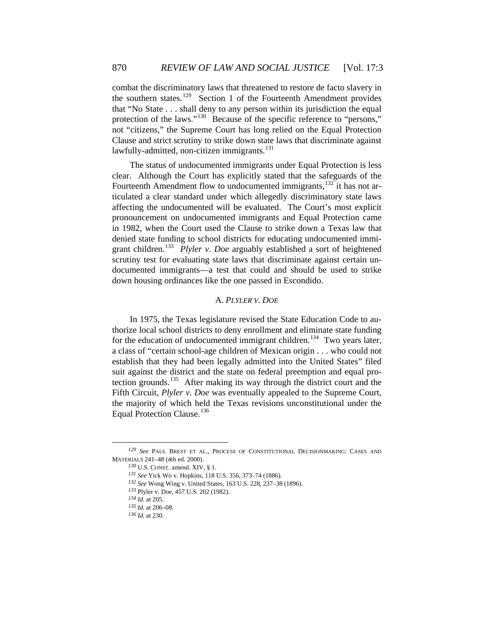not "citizens," the Supreme Court has long relied on the Equal Protection Clau se and strict scrutiny to strike down state laws that discriminate against combat the discriminatory laws that threatened to restore de facto slavery in the southern states.<sup>[129](#page-15-0)</sup> Section 1 of the Fourteenth Amendment provides that "No State . . . shall deny to any person within its jurisdiction the equal protection of the laws."<sup>[130](#page-15-1)</sup> Because of the specific reference to "persons," lawfully-admitted, non-citizen immigrants.<sup>[131](#page-15-2)</sup>

scrutiny test for evaluating state laws that discriminate against certain undocumented immigrants—a test that could and should be used to strike down housing ordinances like the one passed in Escondido. The status of undocumented immigrants under Equal Protection is less clear. Although the Court has explicitly stated that the safeguards of the Fourteenth Amendment flow to undocumented immigrants,  $132$  it has not articulated a clear standard under which allegedly discriminatory state laws affecting the undocumented will be evaluated. The Court's most explicit pronouncement on undocumented immigrants and Equal Protection came in 1982, when the Court used the Clause to strike down a Texas law that denied state funding to school districts for educating undocumented immigrant children.[133](#page-15-3) *Plyler v. Doe* arguably established a sort of heightened

## A. *PLYLER V. DOE*

Fifth Circuit, *Plyler v. Doe* was eventually appealed to the Supreme Court, the m ajority of which held the Texas revisions unconstitutional under the In 1975, the Texas legislature revised the State Education Code to authorize local school districts to deny enrollment and eliminate state funding for the education of undocumented immigrant children.<sup>[134](#page-15-4)</sup> Two years later, a class of "certain school-age children of Mexican origin . . . who could not establish that they had been legally admitted into the United States" filed suit against the district and the state on federal preemption and equal pro-tection grounds.<sup>[135](#page-15-5)</sup> After making its way through the district court and the Equal Protection Clause.<sup>[136](#page-16-0)</sup>

<span id="page-15-5"></span><span id="page-15-4"></span><span id="page-15-3"></span><span id="page-15-2"></span><span id="page-15-1"></span><span id="page-15-0"></span>*<sup>129</sup> See* PAUL BREST ET AL., PROCESS OF CONSTITUTIONAL DECISIONMAKING: CASES AND MATE RIALS 241–48 (4th ed. 2000).

*<sup>130</sup>* U.S. CONST. amend. XIV, § 1.

*<sup>131</sup> See* Yick Wo v. Hopkins, 118 U.S. 356, 373–74 (1886).

<sup>132</sup> See Wong Wing v. United States, 163 U.S. 228, 237-38 (1896).

<sup>133</sup> Plyler v. Doe, 457 U.S. 202 (1982).

*<sup>134</sup> Id.* at 205.

<sup>8.</sup>  *<sup>135</sup> Id.* at 206–0

*<sup>136</sup> Id.* at 230.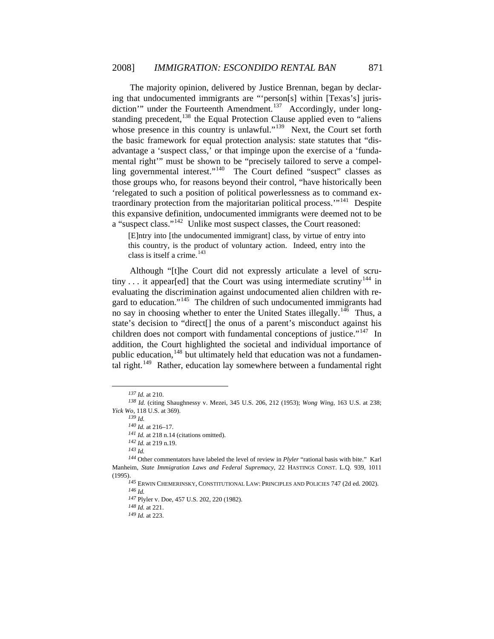['relegated to such a position of political powerlessness as to command](#page-16-4) ex-traordinary protection from the majoritarian political process."<sup>[141](#page-16-5)</sup> Despite this expansive definition, undocumented immigrants were deemed not to be a "suspect class."<sup>[142](#page-16-5)</sup> Unlike most suspect classes, the Court reasoned: [The majority opinion, delivered by Justice Brennan, began by declar](#page-16-0)[ing that undocumented immigrants are "'person\[s\] within \[Texas's\] juris](#page-16-0)[diction'" under the Fourteenth Amendment.](#page-16-0)<sup>137</sup> [Accordingly, under long](#page-16-1)[standing precedent,](#page-16-1)  $138$  the Equal Protection Clause applied even to "aliens" [whose presence in this country is unlawful."](#page-16-2)<sup>139</sup> Next, the Court set forth [the basic framework for equal protection analysis: state statutes that "dis](#page-16-3)[advantage a 'suspect class,' or that impinge upon the exercise of a 'funda](#page-16-3)[mental right'" must be shown to be "precisely tailored to serve a compel](#page-16-3)[ling governmental interest."](#page-16-3)<sup>140</sup> The Court defined "suspect" classes as [those groups who, for reasons beyond their control, "have historically been](#page-16-4) 

[E]ntry into [the undocumented immigrant] class, by virtue of entry into this country, is the product of voluntary action. Indeed, entry into the class is itself a crime.<sup>[143](#page-16-6)</sup>

[tal right.](#page-16-11)<sup>149</sup> [Rather, education lay somewhere betwe](#page-17-0)en a fundamental right [Although "\[t\]he Court did not expressly articulate a level of scru](#page-16-6)tiny  $\dots$  it appear[ed] that the Court was using intermediate scrutiny<sup>144</sup> in [evaluating the discrimination against undocumented alien children with re](#page-16-7)[gard to education."](#page-16-7)<sup>145</sup> The children of such undocumented immigrants had [no say in choosing whether to enter the United States illegally.](#page-16-8)<sup>146</sup> Thus, a [state's decision to "direct\[\] the onus of a parent's misconduct against his](#page-16-9)  [children does not comport with fundamental conceptions of justice."](#page-16-9)<sup>147</sup> In [addition, the Court highlighted the societal and individual importance of](#page-16-10)  [public education,](#page-16-10)  $148$  [but ultimately held that education was not a fundamen-](#page-16-11)

*<sup>139</sup> Id.*

 $\overline{a}$ 

 $\overline{a}$ 

*<sup>142</sup> Id.* at 219 n.19.

*<sup>137</sup> Id.* at 210.

<span id="page-16-3"></span><span id="page-16-2"></span><span id="page-16-1"></span><span id="page-16-0"></span>*<sup>138</sup> Id.* (citing Shaughnessy v. Mezei, 345 U.S. 206, 212 (1953); *Wong Wing*, 163 U.S. at 238; *Yick Wo*, 118 U.S. at 369).

*<sup>140</sup> Id.* at 216–17.

<sup>141</sup> *Id.* at 218 n.14 (citations omitted).

*<sup>143</sup> Id.*

<span id="page-16-11"></span><span id="page-16-10"></span><span id="page-16-9"></span><span id="page-16-8"></span><span id="page-16-7"></span><span id="page-16-6"></span><span id="page-16-5"></span><span id="page-16-4"></span>Other commentators have labeled the level of review in *Plyler* "rational basis with bite." Karl *144* Manh eim, *State Immigration Laws and Federal Supremacy*, 22 HASTINGS CONST. L.Q. 939, 1011 (1995) .

<sup>&</sup>lt;sup>145</sup> ERWIN CHEMERINSKY, CONSTITUTIONAL LAW: PRINCIPLES AND POLICIES 747 (2d ed. 2002). *<sup>146</sup> Id.*

<sup>&</sup>lt;sup>147</sup> Plyler v. Doe, 457 U.S. 202, 220 (1982).

*<sup>148</sup> Id.* at 221.

*<sup>149</sup> Id.* at 223.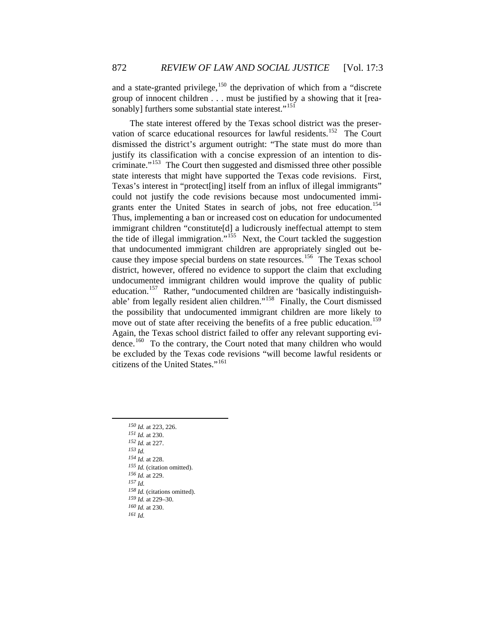and a state-granted privilege,  $150$  the deprivation of which from a "discrete group of innocent children . . . must be justified by a showing that it [rea-sonably] furthers some substantial state interest."<sup>[151](#page-17-2)</sup>

Again, the Texas school district failed to offer any relevant supporting evidence.<sup>160</sup> To the contrary, the Court noted that many children who would be excluded by the Texas code revisions "will become lawful residents or citize ns of the United States."[161](#page-18-0) [The state interest offered by the Texas school district was the preser](#page-17-2)[vation of scarce educational resources for lawful residents.](#page-17-2)<sup>152</sup> The Court [dismissed the district's argument outright: "The state must do more than](#page-17-3)  [justify its classification with a concise expression of an intention to dis](#page-17-3)criminate. $153$  The Court then suggested and dismissed three other possible [state interests that might have supported the Texas code revisions. First,](#page-17-4)  [Texas's interest in "protect\[ing\] itself from an influx of illegal immigrants"](#page-17-4)  [could not justify the code revisions because most undocumented immi](#page-17-4)[grants enter the United States in search of jobs, not free education.](#page-17-4)<sup>154</sup> [Thus, implementing a ban or increased cost on education for undocumented](#page-17-5)  [immigrant children "constitute\[d\] a ludicrously ineffectual attempt to stem](#page-17-5)  [the tide of illegal immigration."](#page-17-5)<sup>155</sup> Next, the Court tackled the suggestion [that undocumented immigrant children are appropriately singled out be](#page-17-6)[cause they impose special burdens on state resources.](#page-17-6)<sup>156</sup> The Texas school [district, however, offered no evidence to support the claim that excluding](#page-17-7)  [undocumented immigrant children would improve the quality of public](#page-17-7)  [education.](#page-17-7)<sup>157</sup> [Rather, "undocumented children are 'basically indistinguish](#page-17-8)[able' from legally resident alien children."](#page-17-8)158 [Finally, the Court dismissed](#page-17-9)  [the possibility that undocumented immigrant children are more likely to](#page-17-9)  [move out of state after receiving the benefits of a free public education.](#page-17-9)<sup>159</sup>

<span id="page-17-10"></span><span id="page-17-9"></span><span id="page-17-8"></span><span id="page-17-7"></span><span id="page-17-6"></span><span id="page-17-5"></span><span id="page-17-4"></span><span id="page-17-3"></span><span id="page-17-2"></span><span id="page-17-1"></span><span id="page-17-0"></span> *Id.* [at 223, 226.](#page-18-0)  *Id.* at 230. *Id.* at 227. *<sup>153</sup> Id. Id.* at 228. *Id.* (citation omitted). *Id.* at 229. *<sup>157</sup> Id. Id.* (citations omitted). *Id.* at 229–30. *Id.* at 230. *<sup>161</sup> Id.*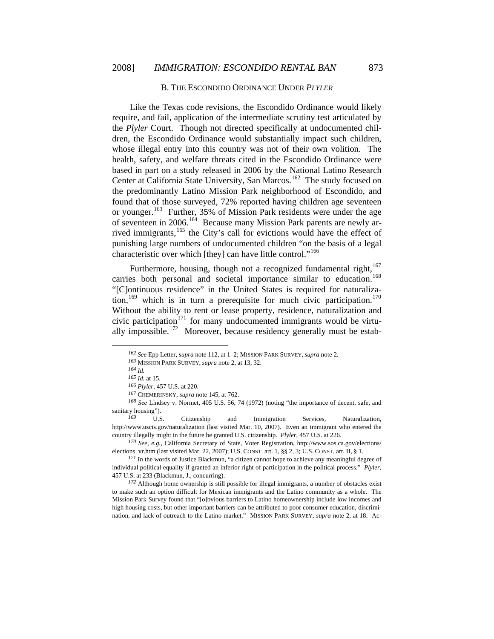#### B. [THE ESCONDIDO ORDINANCE UNDER](#page-18-0) *[PLYLER](#page-18-0)*

[based in part on a study released in 2006 by the National L](#page-18-0)atino Research Center at California State University, San Marcos.<sup>[162](#page-18-0)</sup> The study focused on [Like the Texas code revisions, the Escondido Ordinance would likely](#page-18-0)  [require, and fail, application of the intermediate scrutiny test articulated by](#page-18-0)  the *Plyler* [Court. Though not directed specifically at undocumented chil](#page-18-0)[dren, the Escondido Ordinance would substantially impact such children,](#page-18-0)  [whose illegal entry into this country was not of their own volition. The](#page-18-0)  [health, safety, and welfare threats cited in the Escondido Ordinance were](#page-18-0)  the predominantly Latino Mission Park neighborhood of Escondido, and found that of those surveyed, 72% reported having children age seventeen or younger.<sup>[163](#page-18-1)</sup> Further, 35% of Mission Park residents were under the age of seventeen in 2006.[164](#page-18-2) Because many Mission Park parents are newly ar-rived immigrants,<sup>[165](#page-18-3)</sup> the City's call for evictions would have the effect of punishing large numbers of undocumented children "on the basis of a legal characteristic over which [they] can have little control."<sup>[166](#page-18-4)</sup>

tion,  $169$  which is in turn a prerequisite for much civic participation.  $170$ Without the ability to rent or lease property, residence, naturalization and civic participation $171$  for many undocumented immigrants would be virtually impossible.<sup>172</sup> Moreover, because residency generally must be estab-Furthermore, housing, though not a recognized fundamental right,  $167$ carries both personal and societal importance similar to education.<sup>[168](#page-19-0)</sup> "[C]ontinuous residence" in the United States is required for naturaliza-

<span id="page-18-0"></span> $\overline{a}$ 

<span id="page-18-1"></span>*<sup>168</sup> See* Lindsey v. Normet, 405 U.S. 56, 74 (1972) (noting "the importance of decent, safe, and sanitary housing").

<span id="page-18-2"></span>http://www.uscis.gov/naturalization (last visited Mar. 10, 2007). Even an immigrant who entered the count ry illegally might in the future be granted U.S. citizenship. *Plyler*, 457 U.S. at 226. U.S. Citizenship and Immigration Services, Naturalization,

<span id="page-18-3"></span>elections\_vr.htm (last visited Mar. 22, 2007); U.S. CONST. art. 1, §§ 2, 3; U.S. CONST. art. II, § 1. *<sup>170</sup> See, e.g.*, California Secretary of State, Voter Registration, http://www.sos.ca.gov/elections/

<span id="page-18-4"></span>*<sup>171</sup>* In the words of Justice Blackmun, "a citizen cannot hope to achieve any meaningful degree of individual political equality if granted an inferior right of participation in the political process." *Plyler*, 457 U.S. at 233 (Blackmun, J., concurring).

<span id="page-18-5"></span>high housing costs, but other important barriers can be attributed to poor consumer education, discrimination, and lack of outreach to the Latino market." MISSION PARK SURVEY, *supra* note 2, at 18. Ac-*<sup>172</sup>* Although home ownership is still possible for illegal immigrants, a number of obstacles exist to make such an option difficult for Mexican immigrants and the Latino community as a whole. The Mission Park Survey found that "[o]bvious barriers to Latino homeownership include low incomes and

<sup>162</sup> See Epp Letter, *supra* note 112, at 1–2; MISSION PARK SURVEY, *supra* note 2.

<sup>163</sup> MISSION PARK SURVEY, *supra* note 2, at 13, 32.

*<sup>164</sup> Id. 165 Id.* at 15.

<sup>166</sup> *Plyler*, 457 U.S. at 220.

*<sup>167</sup>* CHEMERINSKY, *supra* note 145, at 762.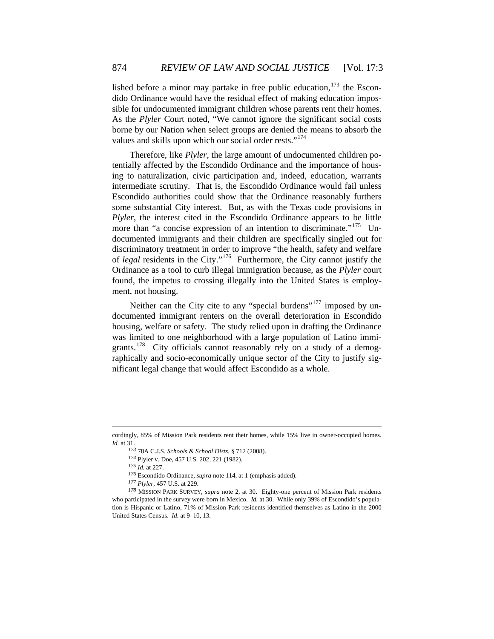dido Ordinance would have the residual effect of making education impossible for undocumented immigrant children whose parents rent their homes. lished before a minor may partake in free public education,  $173$  the Escon-As the *Plyler* Court noted, "We cannot ignore the significant social costs borne by our Nation when select groups are denied the means to absorb the values and skills upon which our social order rests."<sup>[174](#page-19-2)</sup>

[discriminatory treatm](#page-19-3)ent in order to improve "the health, safety and welfare of *le gal* residents in the City."[176](#page-19-4) Furthermore, the City cannot justify the Therefore, like *Plyler*[, the large amount of undocumented children po](#page-19-2)[tentially affected by the Escondido Ordinance and the importance of hous](#page-19-2)[ing to naturalization, civic participation and, indeed, education, warrants](#page-19-2)  [intermediate scrutiny. That is, the Escondido Ordinance would fail unless](#page-19-2)  [Escondido authorities could show that the Ordinance reasonably furthers](#page-19-2)  [some substantial City interest. But, as with the Texas code provisions in](#page-19-2)  *Plyler*[, the interest cited in the Escondido Ordinance appears to be little](#page-19-2)  [more than "a concise expression of an intention to discriminate."](#page-19-2)<sup>175</sup> [Un](#page-19-3)[documented immigrants and their children are specifically singled out for](#page-19-3)  Ordinance as a tool to curb illegal immigration because, as the *Plyler* court found, the impetus to crossing illegally into the United States is employment, not housing.

housing, welfare or safety. The study relied upon in drafting the Ordinance was limited to one neighborhood with a large population of Latino immigrants.<sup>178</sup> City officials cannot reasonably rely on a study of a demographically and socio-economically unique sector of the City to justify significant legal change that would affect Escondido as a whole. Neither can the City cite to any "special burdens"<sup>[177](#page-19-5)</sup> imposed by undocumented immigrant renters on the overall deterioration in Escondido

1

<span id="page-19-1"></span><span id="page-19-0"></span>cordingly, 85% of Mission Park residents rent their homes, while 15% live in owner-occupied homes. *Id.* at 31.

*<sup>173</sup>* 78A C.J.S. *Schools & School Dists.* § 712 (2008).

*<sup>174</sup>* Plyler v. Doe, 457 U.S. 202, 221 (1982).

*<sup>175</sup> Id.* at 227.

*<sup>176</sup>* Escondido Ordinance, *supra* note 114, at 1 (emphasis added).

*<sup>177</sup> Plyler*, 457 U.S. at 229.

<span id="page-19-5"></span><span id="page-19-4"></span><span id="page-19-3"></span><span id="page-19-2"></span>*<sup>178</sup>* MISSION PARK SURVEY, *supra* note 2, at 30. Eighty-one percent of Mission Park residents who participated in the survey were born in Mexico. *Id.* at 30. While only 39% of Escondido's population is Hispanic or Latino, 71% of Mission Park residents identified themselves as Latino in the 2000 United States Census. *Id.* at 9–10, 13.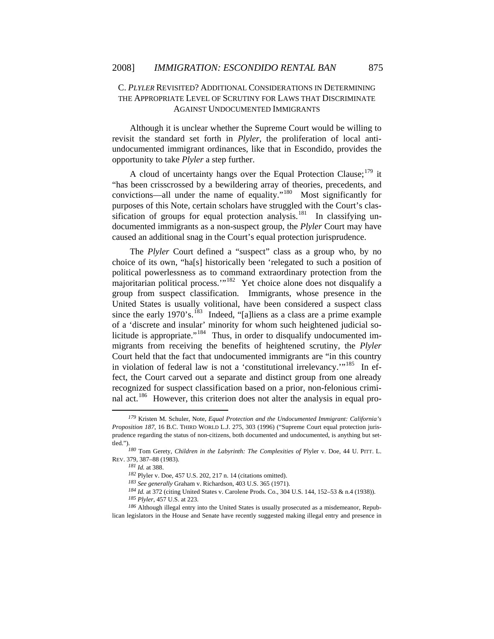# C. *PLYLER* REVISITED? ADDITIONAL CONSIDERATIONS IN DETERMINING THE APPROPRIATE LEVEL OF SCRUTINY FOR LAWS THAT DISCRIMINATE AGAINST UNDOCUMENTED IMMIGRANTS

undocumented immigrant ordinances, like that in Escondido, provides the oppo rtunity to take *Plyler* a step further. Although it is unclear whether the Supreme Court would be willing to revisit the standard set forth in *Plyler*, the proliferation of local anti-

A cloud of uncertainty hangs over the Equal Protection Clause;<sup>[179](#page-20-0)</sup> it "has been crisscrossed by a bewildering array of theories, precedents, and convictions—all under the name of equality."<sup>[180](#page-20-1)</sup> Most significantly for purposes of this Note, certain scholars have struggled with the Court's clas-sification of groups for equal protection analysis.<sup>[181](#page-20-2)</sup> In classifying undocumented immigrants as a non-suspect group, the *Plyler* Court may have caused an additional snag in the Court's equal protection jurisprudence.

migrants from receiving the benefits of heightened scrutiny, the *Plyler* Court held that the fact that undocumented immigrants are "in this country in violation of federal law is not a 'constitutional irrelevancy.'"<sup>185</sup> In effect, the Court carved out a separate and distinct group from one already The *Plyler* Court defined a "suspect" class as a group who, by no choice of its own, "ha[s] historically been 'relegated to such a position of political powerlessness as to command extraordinary protection from the majoritarian political process."<sup>[182](#page-20-3)</sup> Yet choice alone does not disqualify a group from suspect classification. Immigrants, whose presence in the United States is usually volitional, have been considered a suspect class since the early  $1970$ 's.<sup>[183](#page-20-4)</sup> Indeed, "[a]liens as a class are a prime example of a 'discrete and insular' minority for whom such heightened judicial so-licitude is appropriate."<sup>[184](#page-21-0)</sup> Thus, in order to disqualify undocumented imrecognized for suspect classification based on a prior, non-felonious criminal act.<sup>186</sup> However, this criterion does not alter the analysis in equal pro-

 $\overline{a}$ 

*<sup>179</sup>* Kristen M. Schuler, Note, *Equal Protection and the Undocumented Immigrant: California's Proposition 187*, 16 B.C. THIRD WORLD L.J. 275, 303 (1996) ("Supreme Court equal protection jurisprudence regarding the status of non-citizens, both documented and undocumented, is anything but settled." ).

<span id="page-20-0"></span>REV. 379, 387–88 (1983). *<sup>180</sup>* Tom Gerety, *Children in the Labyrinth: The Complexities of* Plyler v. Doe, 44 U. PITT. L.

*<sup>181</sup> Id.* at 388.

*<sup>182</sup>* Plyler v. Doe, 457 U.S. 202, 217 n. 14 (citations omitted).

*<sup>183</sup> See generally* Graham v. Richardson, 403 U.S. 365 (1971).

<sup>184</sup> Id. at 372 (citing United States v. Carolene Prods. Co., 304 U.S. 144, 152–53 & n.4 (1938)).

*<sup>185</sup> Plyler*, 457 U.S. at 223.

<span id="page-20-4"></span><span id="page-20-3"></span><span id="page-20-2"></span><span id="page-20-1"></span>*<sup>186</sup>* Although illegal entry into the United States is usually prosecuted as a misdemeanor, Republican legislators in the House and Senate have recently suggested making illegal entry and presence in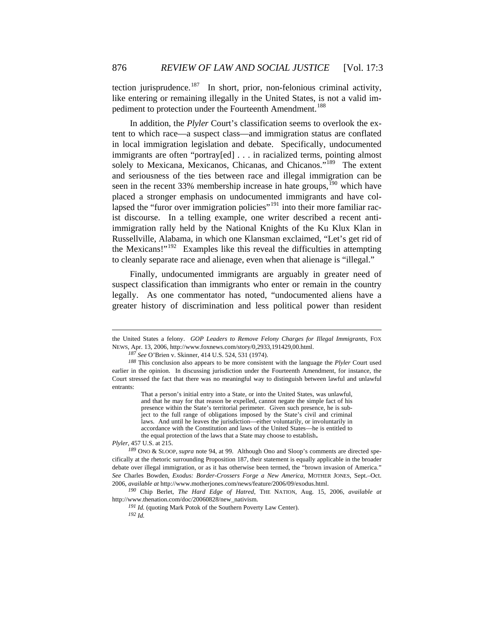tection jurisprudence.<sup>[187](#page-21-1)</sup> In short, prior, non-felonious criminal activity, like entering or remaining illegally in the United States, is not a valid im-pediment to protection under the Fourteenth Amendment.<sup>[188](#page-21-2)</sup>

[immigration rally held by the National Knights of the Ku Klux Klan](#page-21-4) in Russ ellville, Alabama, in which one Klansman exclaimed, "Let's get rid of In addition, the *Plyler* [Court's classification seems to overlook the ex](#page-21-2)[tent to which race—a suspect class—and immigration status are conflated](#page-21-2)  [in local immigration legislation and debate. Specifically, undocumented](#page-21-2)  [immigrants are often "portray\[ed\] . . . in racialized terms, pointing almost](#page-21-2)  solely to Mexicana, Mexicanos, Chicanas, and Chicanos.<sup>"189</sup> The extent [and seriousness of the ties between race and illegal immigration can be](#page-21-3)  [seen in the recent 33% membership increase in hate groups,](#page-21-3) $190$  which have [placed a stronger emphasis on undocumented immigrants and have col](#page-21-4)[lapsed the "furor over immigration policies"](#page-21-4)<sup>191</sup> into their more familiar rac[ist discourse. In a telling example, one writer described a recent anti](#page-21-4)the Mexicans!" $192$  Examples like this reveal the difficulties in attempting to cleanly separate race and alienage, even when that alienage is "illegal."

legally. As one commentator has noted, "undocumented aliens have a greater history of discrimination and less political power than resident Finally, undocumented immigrants are arguably in greater need of suspect classification than immigrants who enter or remain in the country

presence within the State's territorial perimeter. Given such presence, he is sub-That a person's initial entry into a State, or into the United States, was unlawful, and that he may for that reason be expelled, cannot negate the simple fact of his ject to the full range of obligations imposed by the State's civil and criminal laws. And until he leaves the jurisdiction—either voluntarily, or involuntarily in accordance with the Constitution and laws of the United States—he is entitled to the equal protection of the laws that a State may choose to establish.

<span id="page-21-1"></span>*Plyler*, 457 U.S. at 215.

1

the United States a felony. *GOP Leaders to Remove Felony Charges for Illegal Immigrants*, FOX NEWS, Apr. 13, 2006, http://www.foxnews.com/story/0,2933,191429,00.html.

*See* O'Brien v. Skinner, 414 U.S. 524, 531 (1974). *187*

<span id="page-21-0"></span><sup>188</sup> This conclusion also appears to be more consistent with the language the *Plyler* Court used earlier in t he opinion. In discussing jurisdiction under the Fourteenth Amendment, for instance, the Court stressed the fact that there was no meaningful way to distinguish between lawful and unlawful entrants:

<sup>&</sup>lt;sup>189</sup> ONO & SLOOP, *supra* note 94, at 99. Although Ono and Sloop's comments are directed specifica lly at the rhetoric surrounding Proposition 187, their statement is equally applicable in the broader debate over illegal immigration, or as it has otherwise been termed, the "brown invasion of America." See Charles Bowden, *Exodus: Border-Crossers Forge a New America*, MOTHER JONES, Sept.-Oct. 2006, *le at* http://www.motherjones.com/news/feature/2006/09/exodus.html. *availab*

<span id="page-21-4"></span><span id="page-21-3"></span><span id="page-21-2"></span>*<sup>190</sup>* Chip Berlet, *The Hard Edge of Hatred*, THE NATION, Aug. 15, 2006, *available at*  http://www.thenation.com/doc/20060828/new\_nativism.

*<sup>191</sup> Id.* (quoting Mark Potok of the Southern Poverty Law Center).

*<sup>192</sup> Id.*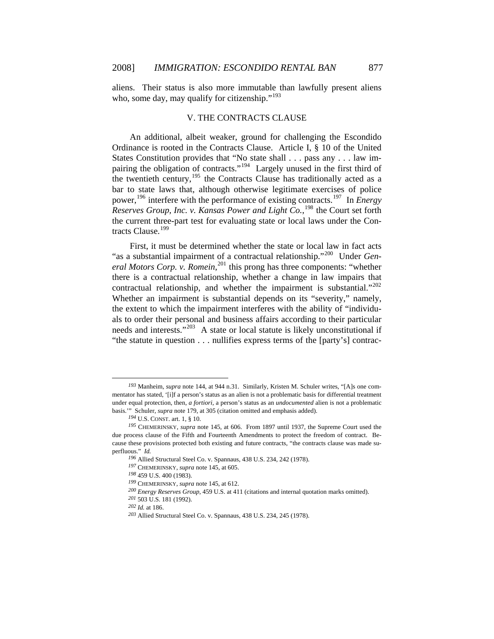aliens. Their status is also more immutable than lawfully present aliens who, some day, may qualify for citizenship."<sup>193</sup>

## [V. THE CONTRACTS CLAUSE](#page-22-1)

power,<sup>196</sup> interfer[e with the performance of existing contracts.](#page-22-4)<sup>197</sup> In *Energy Reserves Group, Inc. v. Kansas Power and Light Co.*,<sup>198</sup> the Court set forth [An additional, albeit weaker, ground for challenging the Escondido](#page-22-1)  [Ordinance is rooted in the Contracts Clause. Article I, § 10 of the United](#page-22-1)  [States Constitution provides that "No state shall . . . pass any . . . law im](#page-22-1)[pairing the obligation of contracts."](#page-22-1)194 [Largely unused in the first third of](#page-22-2)  [the twentieth century,](#page-22-2)<sup>195</sup> the Contracts Clause has traditionally acted as a [bar to state laws that, although otherwise legitimate exercises of police](#page-22-3)  the current three-part test for evaluating state or local laws under the Con-tracts Clause.<sup>[199](#page-22-5)</sup>

needs and interests." $203$  A state or local statute is likely unconstitutional if "the statute in question . . . nullifies express terms of the [party's] contrac-First, it must be determined whether the state or local law in fact acts "as a substantial impairment of a contractual relationship."[200](#page-22-6) Under *Gen-*eral Motors Corp. v. Romein,<sup>[201](#page-22-7)</sup> this prong has three components: "whether there is a contractual relationship, whether a change in law impairs that contractual relationship, and whether the impairment is substantial."<sup>[202](#page-23-0)</sup> Whether an impairment is substantial depends on its "severity," namely, the extent to which the impairment interferes with the ability of "individuals to order their personal and business affairs according to their particular

<span id="page-22-0"></span>*<sup>193</sup>* Manheim, *supra* note 144, at 944 n.31. Similarly, Kristen M. Schuler writes, "[A]s one commentator has stated, '[i]f a person's status as an alien is not a problematic basis for differential treatment under equal protection, then, *a fortiori*, a person's status as an *undocumented* alien is not a problematic basis." Schuler, *supra* note 179, at 305 (citation omitted and emphasis added).

*<sup>194</sup>* U.S. CONST. art. 1, § 10.

<span id="page-22-4"></span><span id="page-22-3"></span><span id="page-22-2"></span><span id="page-22-1"></span>cause these provisions protected both existing and future contracts, "the contracts clause was made superflu ous." *Id. <sup>195</sup>* CHEMERINSKY, *supra* note 145, at 606. From 1897 until 1937, the Supreme Court used the due process clause of the Fifth and Fourteenth Amendments to protect the freedom of contract. Be-

<sup>&</sup>lt;sup>196</sup> Allied Structural Steel Co. v. Spannaus, 438 U.S. 234, 242 (1978).

<sup>&</sup>lt;sup>197</sup> CHEMERINSKY, *supra* note 145, at 605.

*<sup>198</sup>* 459 U.S. 400 (1983).

*<sup>199</sup>* CHEMERINSKY, *supra* note 145, at 612.

*p*, 459 U.S. at 411 (citations and internal quotation marks omitted). *<sup>200</sup> Energy Reserves Grou*

<sup>&</sup>lt;sup>201</sup> 503 U.S. 181 (1992).

<span id="page-22-7"></span><span id="page-22-6"></span><span id="page-22-5"></span>*<sup>202</sup> Id.* at 186.

<sup>&</sup>lt;sup>203</sup> Allied Structural Steel Co. v. Spannaus, 438 U.S. 234, 245 (1978).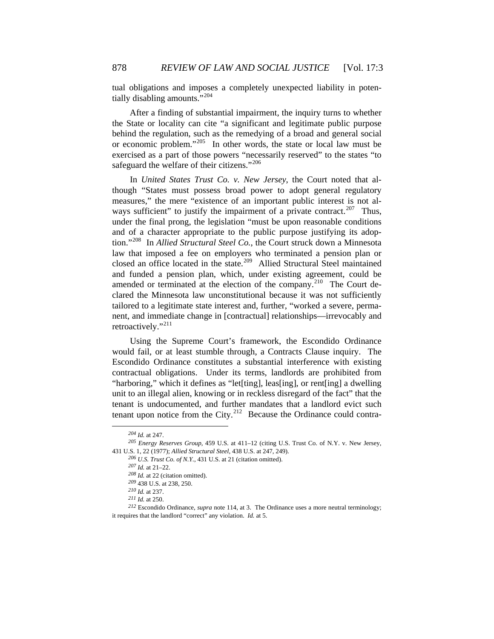tual obligations and imposes a completely unexpected liability in poten-tially disabling amounts."<sup>[204](#page-23-1)</sup>

After a finding of substantial impairment, the inquiry turns to whether the S tate or locality can cite "a significant and legitimate public purpose behind the regulation, such as the remedying of a broad and general social or economic problem."[205](#page-23-2) In other words, the state or local law must be exercised as a part of those powers "necessarily reserved" to the states "to safeguard the welfare of their citizens."<sup>[206](#page-23-3)</sup>

and funded a pension plan, which, under existing agreement, could be amended or terminated at the election of the company.<sup>[210](#page-23-7)</sup> The Court de-In *[United States Trust Co. v. New Jersey](#page-23-3)*, the Court noted that al[though "States must possess broad power to adopt general regulatory](#page-23-3)  [measures," the mere "existence of an important public interest is not al](#page-23-3)[ways sufficient" to justify the impairment of a private contract.](#page-23-3)<sup>207</sup> Thus, [under the final prong, the legislation "must be upon reasonable conditions](#page-23-4)  [and of a character appropriate to the public purpose justifying its adop](#page-23-4)[tion."](#page-23-4)208 In *Allied Structural Steel Co.*[, the Court struck down a Minnesota](#page-23-5)  [law that imposed a fee on employers who terminated a pension plan or](#page-23-5)  [closed an office located in the state.](#page-23-5)<sup>209</sup> Allied Structural Steel maintained clared the Minnesota law unconstitutional because it was not sufficiently tailored to a legitimate state interest and, further, "worked a severe, permanent, and immediate change in [contractual] relationships—irrevocably and retroactively."<sup>[211](#page-24-0)</sup>

unit to an illegal alien, knowing or in reckless disregard of the fact" that the tenant is undocumented, and further mandates that a landlord evict such [Using the Supreme Court's framework, the Escondido Ordinance](#page-24-0)  [would fail, or at least stumble through, a Contracts Clause inquiry. The](#page-24-0)  [Escondido Ordinance constitutes a substantial interference with existing](#page-24-0)  [contractual obligations. Under its terms, landlords are prohibited from](#page-24-0)  ["harboring," which it defines as "let\[ting\], leas\[ing\], or rent\[ing\] a dwelling](#page-24-0)  tenant upon notice from the City.<sup>212</sup> Because the Ordinance could contra-

 $\overline{a}$ 

*<sup>204</sup> Id.* at 247.

<span id="page-23-2"></span><span id="page-23-1"></span><span id="page-23-0"></span>*<sup>205</sup> Energy Reserves Group*, 459 U.S. at 411–12 (citing U.S. Trust Co. of N.Y. v. New Jersey, 431 U.S. 1, 22 (1977); *Allied Structural Steel*, 438 U.S. at 247, 249).

*o. of N.Y.*, 431 U.S. at 21 (citation omitted). *<sup>206</sup> U.S. Trust C*

<sup>.</sup>  *<sup>207</sup> Id.* at 21–22

*<sup>208</sup> Id.* at 22 (citation omitted).

*<sup>209</sup>* 438 U.S. at 238, 250.

*<sup>210</sup> Id.* at 237.

*<sup>211</sup> Id.* at 250.

<span id="page-23-7"></span><span id="page-23-6"></span><span id="page-23-5"></span><span id="page-23-4"></span><span id="page-23-3"></span>it requires that the landlord "correct" any violation. *Id.* at 5. *<sup>212</sup>* Escondido Ordinance, *supra* note 114, at 3. The Ordinance uses a more neutral terminology;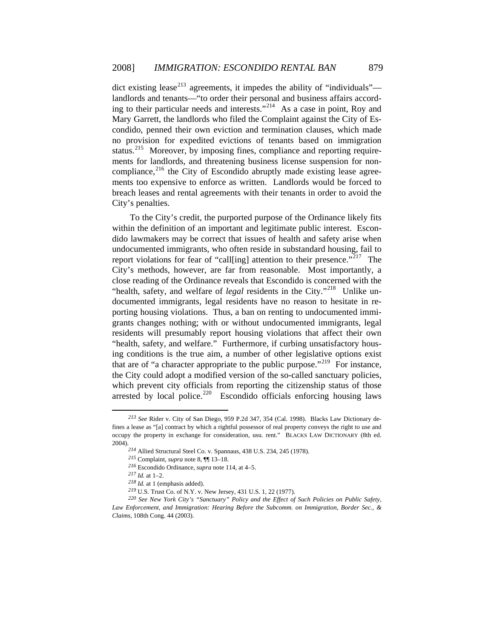[ments too expens](#page-24-3)ive to enforce as written. Landlords would be forced to breac h leases and rental agreements with their tenants in order to avoid the [dict existing lease](#page-24-0)<sup>213</sup> [agreements, it impedes the ability of "individuals"](#page-24-1) [landlords and tenants—"to order their personal and business affairs accord](#page-24-1)[ing to their particular needs and interests."](#page-24-1)<sup>214</sup> As a case in point, Roy and [Mary Garrett, the landlords who filed the Complaint against the City of Es](#page-24-2)[condido, penned their own eviction and termination clauses, which made](#page-24-2)  [no provision for expedited evictions of tenants based on immigration](#page-24-2)  [status.](#page-24-2)<sup>215</sup> [Moreover, by imposing fines, compliance and reporting require](#page-24-3)[ments for landlords, and threatening business license suspension for non](#page-24-3)compliance, $^{216}$  the City of Escondido abruptly made existing lease agree-City's penalties.

arrested by local police.<sup>220</sup> Escondido officials enforcing housing laws To the City's credit, the purported purpose of the Ordinance likely fits within the definition of an important and legitimate public interest. Escondido lawmakers may be correct that issues of health and safety arise when undocumented immigrants, who often reside in substandard housing, fail to report violations for fear of "call[ing] attention to their presence."<sup>[217](#page-24-4)</sup> The City's methods, however, are far from reasonable. Most importantly, a close reading of the Ordinance reveals that Escondido is concerned with the "health, safety, and welfare of *legal* residents in the City."<sup>[218](#page-24-5)</sup> Unlike undocumented immigrants, legal residents have no reason to hesitate in reporting housing violations. Thus, a ban on renting to undocumented immigrants changes nothing; with or without undocumented immigrants, legal residents will presumably report housing violations that affect their own "health, safety, and welfare." Furthermore, if curbing unsatisfactory housing conditions is the true aim, a number of other legislative options exist that are of "a character appropriate to the public purpose."<sup>[219](#page-24-6)</sup> For instance, the City could adopt a modified version of the so-called sanctuary policies, which prevent city officials from reporting the citizenship status of those

 $\overline{a}$ 

<span id="page-24-2"></span><span id="page-24-1"></span><span id="page-24-0"></span>*<sup>213</sup> See* Rider v. City of San Diego, 959 P.2d 347, 354 (Cal. 1998). Blacks Law Dictionary defines a lease as "[a] contract by which a rightful possessor of real property conveys the right to use and occupy the property in exchange for consideration, usu. rent." BLACKS LAW DICTIONARY (8th ed. 2004).

*<sup>214</sup>* Allied Structural Steel Co. v. Spannaus, 438 U.S. 234, 245 (1978).

*<sup>215</sup>* Complaint, *supra* note 8, ¶¶ 13–18.

*<sup>216</sup>* Escondido Ordinance, *supra* note 114, at 4–5.

*<sup>217</sup> Id.* at 1–2.

*<sup>218</sup> Id.* at 1 (emphasis added).

*<sup>219</sup>* U.S. Trust Co. of N.Y. v. New Jersey, 431 U.S. 1, 22 (1977).

<span id="page-24-6"></span><span id="page-24-5"></span><span id="page-24-4"></span><span id="page-24-3"></span>*<sup>220</sup> See New York City's "Sanctuary" Policy and the Effect of Such Policies on Public Safety, Law Enforcement, and Immigration: Hearing Before the Subcomm. on Immigration, Border Sec., & Claims*, 108th Cong. 44 (2003).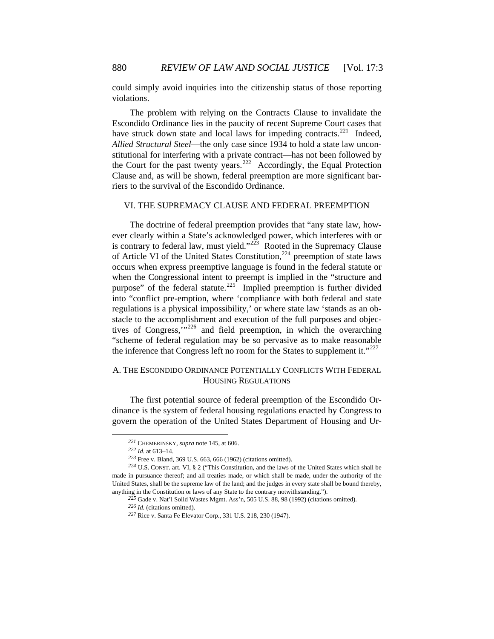could simply avoid inquiries into the citizenship status of those reporting violations.

Allied Structural Steel—the only case since 1934 to hold a state law unconstitutional for interfering with a private contract—has not been followed by the Court for the past twenty years.<sup>222</sup> Accordingly, the Equal Protection Clau se and, as will be shown, federal preemption are more significant bar-The problem with relying on the Contracts Clause to invalidate the Escondido Ordinance lies in the paucity of recent Supreme Court cases that have struck down state and local laws for impeding contracts.<sup>[221](#page-25-0)</sup> Indeed, riers to the survival of the Escondido Ordinance.

# VI. THE SUPREMACY CLAUSE AND FEDERAL PREEMPTION

"scheme of federal regulation may be so pervasive as to make reasonable the inference that Congress left no room for the States to supplement it." $227$ The doctrine of federal preemption provides that "any state law, however clearly within a State's acknowledged power, which interferes with or is contrary to federal law, must yield."<sup>[223](#page-25-1)</sup> Rooted in the Supremacy Clause of Article VI of the United States Constitution,<sup>[224](#page-25-2)</sup> preemption of state laws occurs when express preemptive language is found in the federal statute or when the Congressional intent to preempt is implied in the "structure and purpose" of the federal statute.<sup>[225](#page-25-3)</sup> Implied preemption is further divided into "conflict pre-emption, where 'compliance with both federal and state regulations is a physical impossibility,' or where state law 'stands as an obstacle to the accomplishment and execution of the full purposes and objectives of Congress, $\cdots^{226}$  and field preemption, in which the overarching

# A. [THE ESCONDIDO ORDINANCE POTENTIALLY CONFLICTS WITH FEDERAL](#page-26-0)  [HOUSING REGULATIONS](#page-26-0)

govern the operation of the United States Department of Housing and Ur-[The first potential source of federal preemption of the Escondido Or](#page-26-0)[dinance is the system of federal housing regulations enacted by Congress to](#page-26-0) 

*<sup>221</sup>* CHEMERINSKY, *supra* note 145, at 606.

*<sup>222</sup> Id.* at 613–14.

*<sup>223</sup>* Free v. Bland, 369 U.S. 663, 666 (1962) (citations omitted).

<span id="page-25-3"></span><span id="page-25-2"></span><span id="page-25-1"></span><span id="page-25-0"></span>made in pursuance thereof; and all treaties made, or which shall be made, under the authority of the United States, shall be the supreme law of the land; and the judges in every state shall be bound thereby, anything in the Constitution or laws of any State to the contrary notwithstanding."). *<sup>224</sup>* U.S. CONST. art. VI, § 2 ("This Constitution, and the laws of the United States which shall be

<sup>&</sup>lt;sup>225</sup> Gade v. Nat'l Solid Wastes Mgmt. Ass'n, 505 U.S. 88, 98 (1992) (citations omitted).

*<sup>226</sup> Id.* (citations omitted).

<sup>&</sup>lt;sup>227</sup> Rice v. Santa Fe Elevator Corp., 331 U.S. 218, 230 (1947).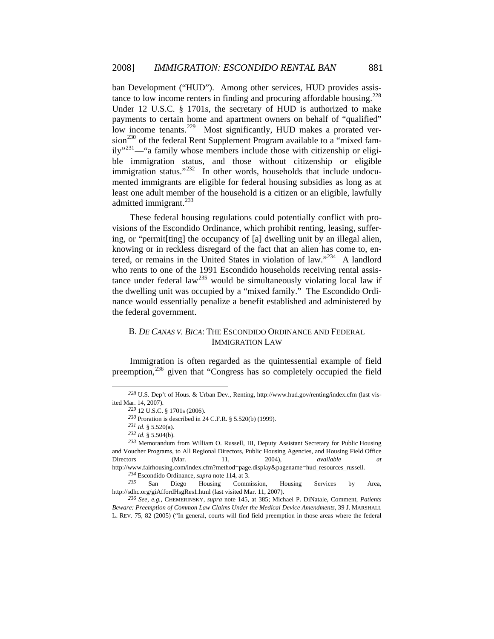[immigration status."](#page-26-4)<sup>232</sup> [In other words, households t](#page-26-5)hat include undocument ed immigrants are eligible for federal housing subsidies as long as at [ban Development \("HUD"\). Among other services, HUD provides assis](#page-26-0)[tance to low income renters in finding and procuring affordable housing.](#page-26-0)<sup>228</sup> Under 12 U.S.C. § 1701s, the secretary of HUD is authorized to make [payments to certain home and apartment owners on behalf of "qualified"](#page-26-1)  [low income tenants.](#page-26-1)<sup>229</sup> [Most significantly, HUD makes a prorated ver](#page-26-2) $sion<sup>230</sup>$  $sion<sup>230</sup>$  [of the federal Rent Supplement Program available to a "mixed fam](#page-26-3) $ily''^{231}$ [—"a family whose members include those with citizenship or eligi](#page-26-4)[ble immigration status, and those without citizenship or eligible](#page-26-4)  least one adult member of the household is a citizen or an eligible, lawfully admitted immigrant.<sup>[233](#page-26-6)</sup>

[tance under federal law](#page-26-7)<sup>235</sup> would be simultaneously violating local law if the dwelling unit was occupied by a "mixed family." The Escondido Ordinance would essentially penalize a benefit established and administered by the federal government. [These federal housing regulations could potentially conflict with pro](#page-26-6)[visions of the Escondido Ordinance, which prohibit renting, leasing, suffer](#page-26-6)[ing, or "permit\[ting\] the occupancy of \[a\] dwelling unit by an illegal alien,](#page-26-6)  [knowing or in reckless disregard of the fact that an alien has come to, en](#page-26-6)[tered, or remains in the United States in violation of law."](#page-26-6)<sup>234</sup> A landlord [who rents to one of the 1991 Escondido households receiving rental assis-](#page-26-7)

# B. *DE CANAS V. BICA*: THE ESCONDIDO ORDINANCE AND FEDERAL IMMIGRATION LAW

Immigration is often regarded as the quintessential example of field preemption,<sup>236</sup> given that "Congress has so completely occupied the field

 $\overline{a}$ 

 $\overline{a}$ 

*<sup>234</sup>* Escondido Ordinance, *supra* note 114, at 3.

<span id="page-26-7"></span><span id="page-26-6"></span>*<sup>235</sup>* San Diego Housing Commission, Housing Services by Area, http://sdhc.org/giAffordHsgRes1.html (last visited Mar. 11, 2007).

<span id="page-26-8"></span>*Bewa re: Preemption of Common Law Claims Under the Medical Device Amendments*, 39 J. MARSHALL *<sup>236</sup> See, e.g.*, CHEMERINSKY, *supra* note 145, at 385; Michael P. DiNatale, Comment, *Patients* L. REV. 75, 82 (2005) ("In general, courts will find field preemption in those areas where the federal

<span id="page-26-1"></span><span id="page-26-0"></span>*<sup>228</sup>* U.S. Dep't of Hous. & Urban Dev., Renting, http://www.hud.gov/renting/index.cfm (last visited M ar. 14, 2007).

*<sup>229</sup>* 12 U.S.C. § 1701s (2006).

*<sup>230</sup>* Proration is described in 24 C.F.R. § 5.520(b) (1999).

*<sup>231</sup> Id.* § 5.520(a).

*<sup>232</sup> Id.* § 5.504(b).

<span id="page-26-5"></span><span id="page-26-4"></span><span id="page-26-3"></span><span id="page-26-2"></span><sup>233</sup> Memorandum from William O. Russell, III, Deputy Assistant Secretary for Public Housing and V oucher Programs, to All Regional Directors, Public Housing Agencies, and Housing Field Office *available at*  http:// www.fairhousing.com/index.cfm?method=page.display&pagename=hud\_resources\_russell. Directors (Mar. 11, 2004),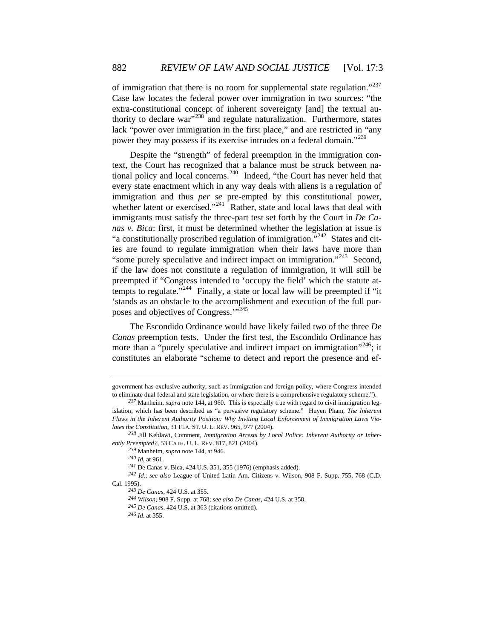lack "power over immigration in the first place," and are restricted in "any power they may possess if its exercise intrudes on a federal domain."<sup>[239](#page-27-1)</sup> of immigration that there is no room for supplemental state regulation."<sup>[237](#page-26-8)</sup> Case law locates the federal power over immigration in two sources: "the extra-constitutional concept of inherent sovereignty [and] the textual au-thority to declare war"<sup>[238](#page-27-0)</sup> and regulate naturalization. Furthermore, states

['stands as an obstacle to the accomplis](#page-27-6)hment and execution of the full pur-poses and objectives of Congress."<sup>[245](#page-27-7)</sup> [Despite the "strength" of federal preemption in the immigration con](#page-27-1)[text, the Court has recognized that a balance must be struck between na](#page-27-1)[tional policy and local concerns.](#page-27-1)<sup>240</sup> Indeed, "the Court has never held that [every state enactment which in any way deals with aliens is a regulation of](#page-27-2)  immigration and thus *per se* [pre-empted by this constitutional power,](#page-27-2)  [whether latent or exercised."](#page-27-2)<sup>241</sup> Rather, state and local laws that deal with [immigrants must satisfy the three-part test set forth by the Court in](#page-27-3) *De Canas v. Bica*[: first, it must be determined whether the legislation at issue is](#page-27-3)  ["a constitutionally proscribed regulation of immigration."](#page-27-3)<sup>242</sup> [States and cit](#page-27-4)[ies are found to regulate immigration when their laws have more than](#page-27-4)  ["some purely speculative and indirect impact on immigration."](#page-27-4)243 [Second,](#page-27-5)  [if the law does not constitute a regulation of immigration, it will still be](#page-27-5)  [preempted if "Congress intended to 'occupy the field' which the statute at](#page-27-5)[tempts to regulate."](#page-27-5)<sup>244</sup> Finally, a state or local law will be preempted if "it"

[The Escondido Ordinance would have likely failed two of the three](#page-27-7) *De Canas* [preemption tests. Under the first test, the Escondido Ordinance has](#page-27-7)  [more than a "purely speculative and indirect impact on immigration"](#page-27-7)<sup>246</sup>; it [constitutes an elaborate "scheme to detect and report the presence and ef-](#page-28-0)

<span id="page-27-7"></span><span id="page-27-6"></span><span id="page-27-5"></span><span id="page-27-4"></span><span id="page-27-3"></span><span id="page-27-2"></span><span id="page-27-1"></span>Cal. 1 995).

1

[government has exclusive authority, such as immigration and foreign policy, where Congress intended](#page-28-0)  [to eliminate dual federal and state legislation, or where there is a comprehensive regulatory scheme."\).](#page-28-0) 

<span id="page-27-0"></span>*<sup>237</sup>* Manheim, *supra* note 144, at 960. This is especially true with regard to civil immigration leg-Flaws in the Inherent Authority Position: Why Inviting Local Enforcement of Immigration Laws Vio*lates the Constitution*, 31 FLA. ST. U. L. REV. 965, 977 (2004). islation, which has been described as "a pervasive regulatory scheme." Huyen Pham, *The Inherent* 

*Local Police: Inherent Authority or Inher-<sup>238</sup>* Jill Keblawi, Comment, *Immigration Arrests by* ently Preempted?, 53 CATH. U. L. REV. 817, 821 (2004).

note 144, at 946. *<sup>239</sup>* Manheim, *supra 240 Id.* at 961.

*<sup>241</sup>* De Canas v. Bica, 424 U.S. 351, 355 (1976) (emphasis added).

<sup>;</sup> *see also* League of United Latin Am. Citizens v. Wilson, 908 F. Supp. 755, 768 (C.D. *<sup>242</sup> Id.*

*<sup>243</sup> De Canas*, 424 U.S. at 355.

<sup>, 424</sup> U.S. at 358. *244 Wilson*, 908 F. Supp. at 768; *see also De Canas*

<sup>245</sup> *De Canas*, 424 U.S. at 363 (citations omitted).

*<sup>246</sup> Id*. at 355.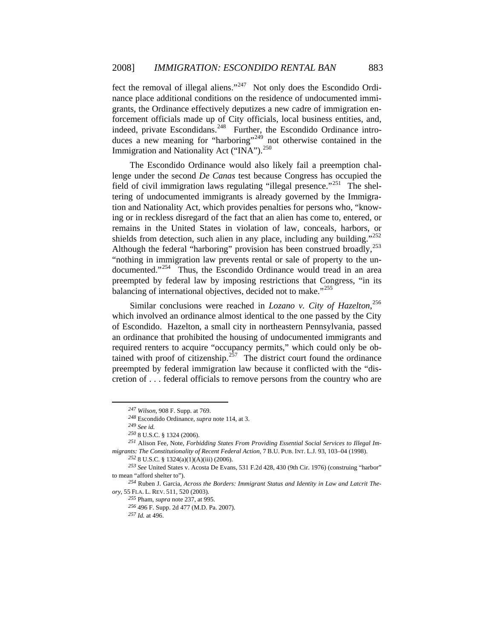[grants, the Ordinance effectively deputizes a new](#page-28-1) cadre of immigration enforce ment officials made up of City officials, local business entities, and, [fect the removal of illegal aliens."](#page-28-0)247 [Not only does the Escondido Ordi](#page-28-1)[nance place additional conditions on the residence of undocumented immi-](#page-28-1)indeed, private Escondidans.<sup>[248](#page-28-2)</sup> Further, the Escondido Ordinance intro-duces a new meaning for "harboring"<sup>[249](#page-28-3)</sup> not otherwise contained in the Immigration and Nationality Act ("INA").<sup>[250](#page-28-4)</sup>

[Although the federal "harboring" provision has been construe](#page-28-6)d broadly,  $^{253}$ "noth ing in immigration law prevents rental or sale of property to the un-[The Escondido Ordinance would also likely fail a preemption chal](#page-28-4)lenge under the second *De Canas* [test because Congress has occupied the](#page-28-4)  [field of civil immigration laws regulating "illegal presence."](#page-28-4)<sup>251</sup> [The shel](#page-28-5)[tering of undocumented immigrants is already governed by the Immigra](#page-28-5)[tion and Nationality Act, which provides penalties for persons who, "know](#page-28-5)[ing or in reckless disregard of the fact that an alien has come to, entered, or](#page-28-5)  [remains in the United States in violation of law, conceals, harbors, or](#page-28-5)  [shields from detection, such alien in any place, including any building."](#page-28-5)<sup>252</sup> documented."<sup>[254](#page-28-7)</sup> Thus, the Escondido Ordinance would tread in an area preempted by federal law by imposing restrictions that Congress, "in its balancing of international objectives, decided not to make."<sup>[255](#page-28-8)</sup>

[cretion of . . . fede](#page-29-1)ral officials to remove persons from the country who are [Similar conclusions were reached in](#page-28-8) *Lozano v. City of Hazelton*, 256 [which involved an ordinance almost identical to the one passed by the City](#page-29-0)  [of Escondido. Hazelton, a small city in northeastern Pennsylvania, passed](#page-29-0)  [an ordinance that prohibited the housing of undocumented immigrants and](#page-29-0)  [required renters to acquire "occupancy permits," which could only be ob](#page-29-0)[tained with proof of citizenship.](#page-29-0)<sup>257</sup> The district court found the ordinance [preempted by federal immigration law because it conflicted with the "dis-](#page-29-1)

<span id="page-28-1"></span><span id="page-28-0"></span> $\overline{a}$ 

 $\overline{a}$ 

252 8 U.S.C. § 1324(a)(1)(A)(iii) (2006).

*<sup>247</sup> Wilson*, 908 F. Supp. at 769.

<sup>&</sup>lt;sup>248</sup> Escondido Ordinance, *supra* note 114, at 3.

*<sup>249</sup> See id. 250* 8 U.S.C. § 1324 (2006).

<span id="page-28-2"></span>*rom Providing Essential Social Services to Illegal Im-<sup>251</sup>* Alison Fee, Note, *Forbidding States F migra nts: The Constitutionality of Recent Federal Action*, 7 B.U. PUB. INT. L.J. 93, 103–04 (1998).

<span id="page-28-4"></span><span id="page-28-3"></span>*<sup>253</sup> See* United States v. Acosta De Evans, 531 F.2d 428, 430 (9th Cir. 1976) (construing "harbor" to mean "afford shelter to").

<span id="page-28-8"></span><span id="page-28-7"></span><span id="page-28-6"></span><span id="page-28-5"></span>*rders: Immigrant Status and Identity in Law and Latcrit The-<sup>254</sup>* Ruben J. Garcia, *Across the Bo ory*, 5 5 FLA. L. REV. 511, 520 (2003).

<sup>255</sup> Pham, *supra* note 237, at 995.

<sup>256 496</sup> F. Supp. 2d 477 (M.D. Pa. 2007).

*<sup>257</sup> Id.* at 496.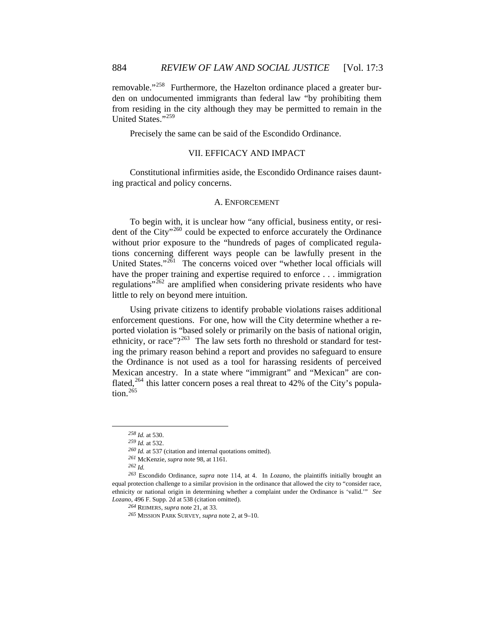removable."<sup>258</sup> Furthermore, the Hazelton ordinance placed a greater burden on undocumented immigrants than federal law "by prohibiting them from residing in the city although they may be permitted to remain in the United States."<sup>259</sup>

Precisely the same can be said of the Escondido Ordinance.

#### VII. EF FICACY AND IMPACT

Constitutional infirmities aside, the Escondido Ordinance raises daunting practical and policy concerns.

#### A. ENFORCEMENT

tions concerning different ways people can be lawfully present in the United States."<sup>[261](#page-29-3)</sup> The concerns voiced over "whether local officials will To begin with, it is unclear how "any official, business entity, or resident of the City"[260](#page-29-2) could be expected to enforce accurately the Ordinance without prior exposure to the "hundreds of pages of complicated regulahave the proper training and expertise required to enforce . . . immigration regulations"<sup> $262$ </sup> are amplified when considering private residents who have little to rely on beyond mere intuition.

ing the primary reason behind a report and provides no safeguard to ensure the O rdinance is not used as a tool for harassing residents of perceived Using private citizens to identify probable violations raises additional enforcement questions. For one, how will the City determine whether a reported violation is "based solely or primarily on the basis of national origin, ethnicity, or race"? $2^{63}$  The law sets forth no threshold or standard for test-Mexican ancestry. In a state where "immigrant" and "Mexican" are con-flated,<sup>[264](#page-30-0)</sup> this latter concern poses a real threat to 42% of the City's population. $265$ 

<span id="page-29-0"></span> $\overline{a}$ 

*<sup>258</sup> Id.* at 530.

*<sup>259</sup> Id.* at 532.

*<sup>260</sup> Id.* at 537 (citation and internal quotations omitted).

*<sup>261</sup>* McKenzie, *supra* note 98, at 1161.

<span id="page-29-5"></span><span id="page-29-4"></span><span id="page-29-3"></span><span id="page-29-2"></span><span id="page-29-1"></span><sup>4.</sup> In *Lozano*, the plaintiffs initially brought an *<sup>262</sup> Id. 263* Escondido Ordinance, *supra* note 114, at equal protection challenge to a similar provision in the ordinance that allowed the city to "consider race, ethnicity or national origin in determining whether a complaint under the Ordinance is 'valid.'" See *Lozan o*, 496 F. Supp. 2d at 538 (citation omitted).

*<sup>264</sup>* REIMERS, *supra* note 21, at 33.

<sup>&</sup>lt;sup>265</sup> MISSION PARK SURVEY, *supra* note 2, at 9–10.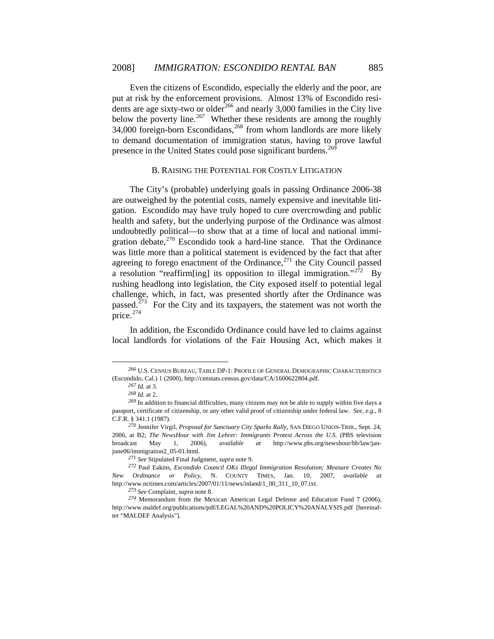[dents are age sixty-two or older](#page-30-1)<sup>266</sup> [and nearly 3,000 families in t](#page-30-2)he City live below the poverty line.<sup>267</sup> Whether these residents are among the roughly 34,000 foreign-born Escondidans,<sup>268</sup> from whom landlords are more likely to demand documentation of imm igration status, having to prove lawful [Even the citizens of Escondido, especially the elderly and the poor, are](#page-30-1)  [put at risk by the enforcement provisions. Almost 13% of Escondido resi-](#page-30-1)presence in the United States could pose significant burdens.<sup>[269](#page-30-3)</sup>

### B. [RAISING THE POTENTIAL FOR COSTLY LITIGATION](#page-30-3)

a resoluti[on "reaffirm\[ing\] its opposition to illegal immigration."](#page-30-5)<sup>272</sup> By rushi ng headlong into legislation, the City exposed itself to potential legal [The City's \(probable\) underlying goals in passing Ordinance 2006-38](#page-30-3)  [are outweighed by the potential costs, namely expensive and inevitable liti](#page-30-3)[gation. Escondido may have truly hoped to cure overcrowding and public](#page-30-3)  [health and safety, but the underlying purpose of the Ordinance was almost](#page-30-3)  [undoubtedly political—to show that at a time of local and national immi](#page-30-3)[gration debate,](#page-30-3) $270$  Escondido took a hard-line stance. That the Ordinance [was little more than a political statement is evidenced by the fact that after](#page-30-4)  [agreeing to forego enactment of the Ordinance,](#page-30-4) $^{271}$  the City Council passed challenge, which, in fact, was presented shortly after the Ordinance was passed.<sup>[273](#page-31-0)</sup> For the City and its taxpayers, the statement was not worth the price. $274$ 

[In addition, the Escondido Ordinance could have led to claims against](#page-31-1)  [local landlords for violations of the Fair Housing Act, which makes it](#page-31-1) 

<span id="page-30-0"></span>*<sup>266</sup>* U.S. CENSUS BUREAU, TABLE DP-1: PROFILE OF GENERAL DEMOGRAPHIC CHARACTERISTICS (Escondido, Cal.) 1 (2000), http://censtats.census.gov/data/CA/1600622804.pdf.

*<sup>267</sup> Id.* at 3.

*<sup>268</sup> Id.* at 2.

<span id="page-30-2"></span><span id="page-30-1"></span><sup>&</sup>lt;sup>269</sup> In addition to financial difficulties, many citizens may not be able to supply within five days a passp ort, certificate of citizenship, or any other valid proof of citizenship under federal law. *See, e.g.*, 8 C.F.R. § 341.1 (1987).

<span id="page-30-3"></span><sup>2006,</sup> at B2; *The NewsHour with Jim Lehrer: Immigrants Protest Across the U.S.* (PBS television broadcast May 1, 2006), *available at* http://www.pbs.org/newshour/bb/law/janjune0 6/immigration2\_05-01.html. *<sup>270</sup>* Jennifer Virgil, *Proposal for Sanctuary City Sparks Rally*, SAN DIEGO UNION-TRIB., Sept. 24, May 1,

<sup>271</sup> See Stipulated Final Judgment, *supra* note 9.

<span id="page-30-5"></span><span id="page-30-4"></span>*<sup>;</sup> Measure Creates No <sup>272</sup>* Paul Eakins, *Escondido Council OKs Illegal Immigration Resolution* New Ordinance or Policy, N. COUNTY TIMES, Jan. 10, 2007, available at http:// www.nctimes.com/articles/2007/01/11/news/inland/1\_00\_311\_10\_07.txt.

*<sup>273</sup> See* Complaint, *supra* note 8.

 $274$  Memorandum from the Mexican American Legal Defense and Education Fund 7 (2006), http://www.maldef.org/publications/pdf/LEGAL%20AND%20POLICY%20ANALYSIS.pdf [hereinafter "M ALDEF Analysis"].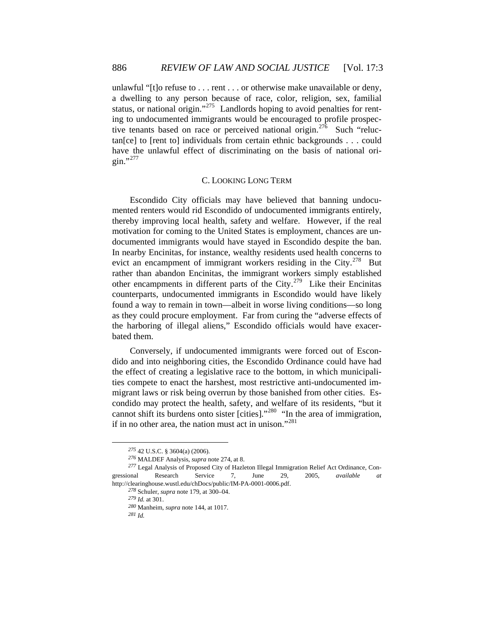status, or [national origin."](#page-31-1)<sup> $275$ </sup> Landlords hoping to avoid penalties for renting to undocumented immigrants would be encouraged to profile prospective tenants based on race or perceived national origin.<sup>276</sup> Such "reluctan[ce] to [rent to] individuals from certain ethnic backgrounds . . . could [unlawful "\[t\]o refuse to . . . rent . . . or otherwise make unavailable or deny,](#page-31-1)  [a dwelling to any person because of race, color, religion, sex, familial](#page-31-1)  have the unlawful effect of discriminating on the basis of national ori- $\sin$ ."[277](#page-31-2)

#### C. LOOKING LONG TERM

other encampments in different parts of the City.<sup>279</sup> Like their Encinitas coun terparts, undocumented immigrants in Escondido would have likely Escondido City officials may have believed that banning undocumented renters would rid Escondido of undocumented immigrants entirely, thereby improving local health, safety and welfare. However, if the real motivation for coming to the United States is employment, chances are undocumented immigrants would have stayed in Escondido despite the ban. In nearby Encinitas, for instance, wealthy residents used health concerns to evict an encampment of immigrant workers residing in the City.<sup>[278](#page-31-3)</sup> But rather than abandon Encinitas, the immigrant workers simply established found a way to remain in town—albeit in worse living conditions—so long as they could procure employment. Far from curing the "adverse effects of the harboring of illegal aliens," Escondido officials would have exacerbated them.

the effect of creating a legislative race to the bottom, in which municipalities compete to enact the harshest, most restrictive anti-undocumented immigrant laws or risk being overrun by those banished from other cities. Escondido m ay protect the health, safety, and welfare of its residents, "but it Conversely, if undocumented immigrants were forced out of Escondido and into neighboring cities, the Escondido Ordinance could have had cannot shift its burdens onto sister [cities]."280 "In the area of immigration, if in no other area, the nation must act in unison."<sup>281</sup>

*<sup>275</sup>* 42 U.S.C. § 3604(a) (2006).

*<sup>276</sup>* MALDEF Analysis, *supra* note 274, at 8.

<span id="page-31-3"></span><span id="page-31-2"></span><span id="page-31-1"></span><span id="page-31-0"></span>*<sup>277</sup>* Legal Analysis of Proposed City of Hazleton Illegal Immigration Relief Act Ordinance, Congressional Research Service 7, June 29, 2005, *available at*  http://clearinghouse.wustl.edu/chDocs/public/IM-PA-0001-0006.pdf.

*<sup>278</sup>* Schuler, *supra* note 179, at 300–04.

*<sup>279</sup> Id.* at 301.

*<sup>280</sup>* Manheim, *supra* note 144, at 1017.

*<sup>281</sup> Id.*